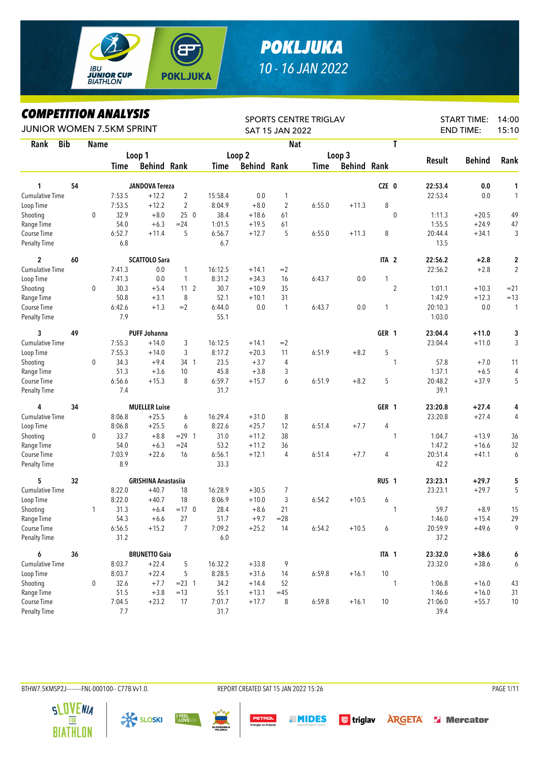

## *POKLJUKA 10 - 16 JAN 2022*

*COMPETITION ANALYSIS*

| LUMPEIIIIUN ANALIƏIƏ<br>JUNIOR WOMEN 7.5KM SPRINT |            |              |        |                            |                 |         |                    | SAT 15 JAN 2022 | SPORTS CENTRE TRIGLAV |                    |                  |               | <b>START TIME:</b><br><b>END TIME:</b> | 14:00<br>15:10 |
|---------------------------------------------------|------------|--------------|--------|----------------------------|-----------------|---------|--------------------|-----------------|-----------------------|--------------------|------------------|---------------|----------------------------------------|----------------|
| Rank                                              | <b>Bib</b> | <b>Name</b>  |        |                            |                 |         |                    | <b>Nat</b>      |                       |                    | T                |               |                                        |                |
|                                                   |            |              |        | Loop 1                     |                 |         | Loop 2             |                 |                       | Loop 3             |                  |               |                                        |                |
|                                                   |            |              | Time   | <b>Behind Rank</b>         |                 | Time    | <b>Behind Rank</b> |                 | <b>Time</b>           | <b>Behind Rank</b> |                  | <b>Result</b> | <b>Behind</b>                          | Rank           |
| 1                                                 | 54         |              |        | <b>JANDOVA Tereza</b>      |                 |         |                    |                 |                       |                    | CZE 0            | 22:53.4       | 0.0                                    | 1              |
| Cumulative Time                                   |            |              | 7:53.5 | $+12.2$                    | $\overline{2}$  | 15:58.4 | 0.0                | 1               |                       |                    |                  | 22:53.4       | 0.0                                    | $\mathbf{1}$   |
| Loop Time                                         |            |              | 7:53.5 | $+12.2$                    | $\overline{c}$  | 8:04.9  | $+8.0$             | $\overline{2}$  | 6:55.0                | $+11.3$            | 8                |               |                                        |                |
| Shooting                                          |            | $\mathbf 0$  | 32.9   | $+8.0$                     | 250             | 38.4    | $+18.6$            | 61              |                       |                    | $\mathbf{0}$     | 1:11.3        | $+20.5$                                | 49             |
| Range Time                                        |            |              | 54.0   | $+6.3$                     | $= 24$          | 1:01.5  | $+19.5$            | 61              |                       |                    |                  | 1:55.5        | $+24.9$                                | 47             |
| Course Time                                       |            |              | 6:52.7 | $+11.4$                    | 5               | 6:56.7  | $+12.7$            | 5               | 6:55.0                | $+11.3$            | 8                | 20:44.4       | $+34.1$                                | 3              |
| Penalty Time                                      |            |              | 6.8    |                            |                 | 6.7     |                    |                 |                       |                    |                  | 13.5          |                                        |                |
| $\overline{c}$                                    | 60         |              |        | <b>SCATTOLO Sara</b>       |                 |         |                    |                 |                       |                    | ITA <sub>2</sub> | 22:56.2       | $+2.8$                                 | 2              |
| Cumulative Time                                   |            |              | 7:41.3 | 0.0                        | $\mathbf{1}$    | 16:12.5 | $+14.1$            | $=2$            |                       |                    |                  | 22:56.2       | $+2.8$                                 | $\overline{2}$ |
| Loop Time                                         |            |              | 7:41.3 | 0.0                        | 1               | 8:31.2  | $+34.3$            | 16              | 6:43.7                | 0.0                | 1                |               |                                        |                |
| Shooting                                          |            | 0            | 30.3   | $+5.4$                     | 11 <sub>2</sub> | 30.7    | $+10.9$            | 35              |                       |                    | $\overline{2}$   | 1:01.1        | $+10.3$                                | $= 21$         |
| Range Time                                        |            |              | 50.8   | $+3.1$                     | 8               | 52.1    | $+10.1$            | 31              |                       |                    |                  | 1:42.9        | $+12.3$                                | $=13$          |
| Course Time                                       |            |              | 6:42.6 | $+1.3$                     | $=2$            | 6:44.0  | 0.0                | $\mathbf{1}$    | 6:43.7                | 0.0                | 1                | 20:10.3       | 0.0                                    | $\mathbf{1}$   |
| Penalty Time                                      |            |              | 7.9    |                            |                 | 55.1    |                    |                 |                       |                    |                  | 1:03.0        |                                        |                |
| 3                                                 | 49         |              |        | <b>PUFF Johanna</b>        |                 |         |                    |                 |                       |                    | GER 1            | 23:04.4       | $+11.0$                                | 3              |
| Cumulative Time                                   |            |              | 7:55.3 | $+14.0$                    | 3               | 16:12.5 | $+14.1$            | $=2$            |                       |                    |                  | 23:04.4       | $+11.0$                                | 3              |
| Loop Time                                         |            |              | 7:55.3 | $+14.0$                    | 3               | 8:17.2  | $+20.3$            | 11              | 6:51.9                | $+8.2$             | 5                |               |                                        |                |
| Shooting                                          |            | $\mathbf 0$  | 34.3   | $+9.4$                     | 34 1            | 23.5    | $+3.7$             | 4               |                       |                    | 1                | 57.8          | $+7.0$                                 | 11             |
| Range Time                                        |            |              | 51.3   | $+3.6$                     | 10              | 45.8    | $+3.8$             | 3               |                       |                    |                  | 1:37.1        | $+6.5$                                 | 4              |
| Course Time                                       |            |              | 6:56.6 | $+15.3$                    | 8               | 6:59.7  | $+15.7$            | 6               | 6:51.9                | $+8.2$             | 5                | 20:48.2       | $+37.9$                                | 5              |
| <b>Penalty Time</b>                               |            |              | 7.4    |                            |                 | 31.7    |                    |                 |                       |                    |                  | 39.1          |                                        |                |
| 4                                                 | 34         |              |        | <b>MUELLER Luise</b>       |                 |         |                    |                 |                       |                    | GER 1            | 23:20.8       | $+27.4$                                | 4              |
| Cumulative Time                                   |            |              | 8:06.8 | $+25.5$                    | 6               | 16:29.4 | $+31.0$            | 8               |                       |                    |                  | 23:20.8       | $+27.4$                                | 4              |
| Loop Time                                         |            |              | 8:06.8 | $+25.5$                    | 6               | 8:22.6  | $+25.7$            | 12              | 6:51.4                | $+7.7$             | 4                |               |                                        |                |
| Shooting                                          |            | 0            | 33.7   | $+8.8$                     | $= 29$ 1        | 31.0    | $+11.2$            | 38              |                       |                    | 1                | 1:04.7        | $+13.9$                                | 36             |
| Range Time                                        |            |              | 54.0   | $+6.3$                     | $= 24$          | 53.2    | $+11.2$            | 36              |                       |                    |                  | 1:47.2        | $+16.6$                                | 32             |
| Course Time                                       |            |              | 7:03.9 | $+22.6$                    | 16              | 6:56.1  | $+12.1$            | 4               | 6:51.4                | $+7.7$             | 4                | 20:51.4       | $+41.1$                                | 6              |
| <b>Penalty Time</b>                               |            |              | 8.9    |                            |                 | 33.3    |                    |                 |                       |                    |                  | 42.2          |                                        |                |
| 5                                                 | 32         |              |        | <b>GRISHINA Anastasiia</b> |                 |         |                    |                 |                       |                    | RUS <sub>1</sub> | 23:23.1       | $+29.7$                                | 5              |
| Cumulative Time                                   |            |              | 8:22.0 | $+40.7$                    | 18              | 16:28.9 | $+30.5$            | 7               |                       |                    |                  | 23:23.1       | $+29.7$                                | 5              |
| Loop Time                                         |            |              | 8:22.0 | $+40.7$                    | 18              | 8:06.9  | $+10.0$            | 3               | 6:54.2                | $+10.5$            | 6                |               |                                        |                |
| Shooting                                          |            | $\mathbf{1}$ | 31.3   | $+6.4$                     | $=17$ 0         | 28.4    | $+8.6$             | 21              |                       |                    | 1                | 59.7          | $+8.9$                                 | 15             |
| Range Time                                        |            |              | 54.3   | $+6.6$                     | 27              | 51.7    | $+9.7$             | $= 28$          |                       |                    |                  | 1:46.0        | $+15.4$                                | 29             |
| Course Time                                       |            |              | 6:56.5 | $+15.2$                    | $\overline{7}$  | 7:09.2  | $+25.2$            | 14              | 6:54.2                | $+10.5$            | 6                | 20:59.9       | $+49.6$                                | 9              |
| Penalty Time                                      |            |              | 31.2   |                            |                 | $6.0\,$ |                    |                 |                       |                    |                  | 37.2          |                                        |                |
| 6                                                 | 36         |              |        | <b>BRUNETTO Gaia</b>       |                 |         |                    |                 |                       |                    | ITA 1            | 23:32.0       | $+38.6$                                | 6              |
| Cumulative Time                                   |            |              | 8:03.7 | $+22.4$                    | 5               | 16:32.2 | $+33.8$            | 9               |                       |                    |                  | 23:32.0       | $+38.6$                                | 6              |
| Loop Time                                         |            |              | 8:03.7 | $+22.4$                    | 5               | 8:28.5  | $+31.6$            | 14              | 6:59.8                | $+16.1$            | $10\,$           |               |                                        |                |
| Shooting                                          |            | 0            | 32.6   | $+7.7$                     | $= 23 \quad 1$  | 34.2    | $+14.4$            | 52              |                       |                    | 1                | 1:06.8        | $+16.0$                                | 43             |
| Range Time                                        |            |              | 51.5   | $+3.8$                     | $=13$           | 55.1    | $+13.1$            | $=45$           |                       |                    |                  | 1:46.6        | $+16.0$                                | 31             |
| Course Time                                       |            |              | 7:04.5 | $+23.2$                    | 17              | 7:01.7  | $+17.7$            | 8               | 6:59.8                | $+16.1$            | 10               | 21:06.0       | $+55.7$                                | 10             |
| Penalty Time                                      |            |              | 7.7    |                            |                 | 31.7    |                    |                 |                       |                    |                  | 39.4          |                                        |                |

BTHW7.5KMSP2J--------FNL-000100-- C77B Vv1.0. REPORT CREATED SAT 15 JAN 2022 15:26 PAGE 1/11

**X SLOSKI** 

I FEEL<br>Slovenia

**SLOVENIA** 

R

PETROL

**MIDES** 

**G** triglav **ARGETA SI Mercator**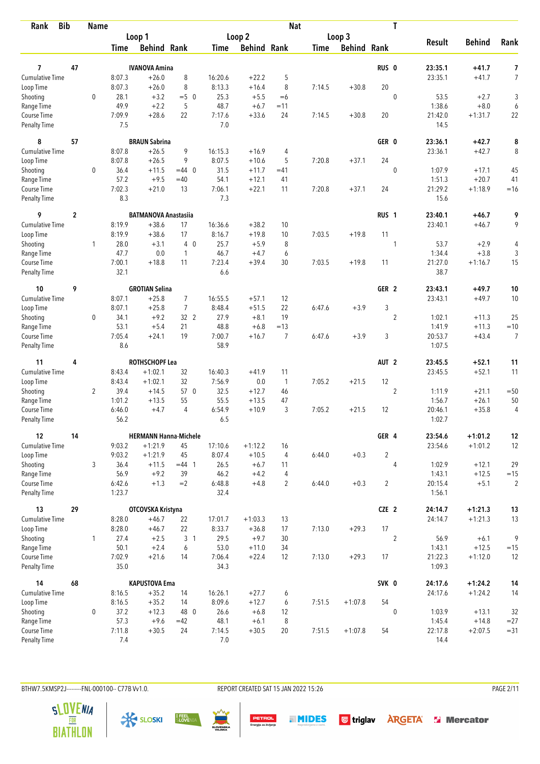| <b>Bib</b><br>Rank                 |                  | <b>Name</b>    |                  |                              |                |                |                    | <b>Nat</b>     |             |                    |                  | T              |                   |               |                     |
|------------------------------------|------------------|----------------|------------------|------------------------------|----------------|----------------|--------------------|----------------|-------------|--------------------|------------------|----------------|-------------------|---------------|---------------------|
|                                    |                  |                |                  | Loop 1                       |                |                | Loop 2             |                |             | Loop 3             |                  |                |                   |               |                     |
|                                    |                  |                | <b>Time</b>      | <b>Behind Rank</b>           |                | Time           | <b>Behind Rank</b> |                | <b>Time</b> | <b>Behind Rank</b> |                  |                | <b>Result</b>     | <b>Behind</b> | Rank                |
| 7                                  | 47               |                |                  | <b>IVANOVA Amina</b>         |                |                |                    |                |             |                    | RUS <sub>0</sub> |                | 23:35.1           | $+41.7$       |                     |
| <b>Cumulative Time</b>             |                  |                | 8:07.3           | $+26.0$                      | 8              | 16:20.6        | $+22.2$            | 5              |             |                    |                  |                |                   | $+41.7$       | 7<br>$\overline{7}$ |
|                                    |                  |                | 8:07.3           | $+26.0$                      | 8              | 8:13.3         | $+16.4$            | 8              | 7:14.5      | $+30.8$            | 20               |                | 23:35.1           |               |                     |
| Loop Time                          |                  | $\mathbf 0$    | 28.1             | $+3.2$                       | $=5$ 0         |                | $+5.5$             |                |             |                    |                  |                | 53.5              | $+2.7$        |                     |
| Shooting                           |                  |                | 49.9             | $+2.2$                       |                | 25.3<br>48.7   |                    | $=6$           |             |                    |                  | $\mathbf 0$    | 1:38.6            | $+8.0$        | 3                   |
| Range Time                         |                  |                |                  | $+28.6$                      | 5<br>22        | 7:17.6         | $+6.7$<br>$+33.6$  | $=11$<br>24    | 7:14.5      |                    | 20               |                | 21:42.0           | $+1:31.7$     | 6                   |
| Course Time<br><b>Penalty Time</b> |                  |                | 7:09.9<br>7.5    |                              |                | 7.0            |                    |                |             | $+30.8$            |                  |                | 14.5              |               | 22                  |
| 8                                  | 57               |                |                  | <b>BRAUN Sabrina</b>         |                |                |                    |                |             |                    | GER 0            |                | 23:36.1           | $+42.7$       | 8                   |
| <b>Cumulative Time</b>             |                  |                | 8:07.8           | $+26.5$                      | 9              | 16:15.3        | $+16.9$            | 4              |             |                    |                  |                | 23:36.1           | $+42.7$       | 8                   |
| Loop Time                          |                  |                | 8:07.8           | $+26.5$                      | 9              | 8:07.5         | $+10.6$            | 5              | 7:20.8      | $+37.1$            | 24               |                |                   |               |                     |
| Shooting                           |                  | 0              | 36.4             | $+11.5$                      | $=44$ 0        | 31.5           | $+11.7$            | $=41$          |             |                    |                  | $\mathbf 0$    | 1:07.9            | $+17.1$       | 45                  |
| Range Time                         |                  |                | 57.2             | $+9.5$                       | $=40$          | 54.1           | $+12.1$            | 41             |             |                    |                  |                | 1:51.3            | $+20.7$       | 41                  |
| Course Time                        |                  |                | 7:02.3           | $+21.0$                      | 13             | 7:06.1         | $+22.1$            | 11             | 7:20.8      | $+37.1$            | 24               |                | 21:29.2           | $+1:18.9$     | $=16$               |
| <b>Penalty Time</b>                |                  |                | 8.3              |                              |                | 7.3            |                    |                |             |                    |                  |                | 15.6              |               |                     |
| 9                                  | $\boldsymbol{2}$ |                |                  | <b>BATMANOVA Anastasiia</b>  |                |                |                    |                |             |                    | RUS <sub>1</sub> |                | 23:40.1           | $+46.7$       | 9                   |
| <b>Cumulative Time</b>             |                  |                | 8:19.9           | $+38.6$                      | 17             | 16:36.6        | $+38.2$            | 10             |             |                    |                  |                | 23:40.1           | $+46.7$       | 9                   |
| Loop Time                          |                  |                | 8:19.9           | $+38.6$                      | 17             | 8:16.7         | $+19.8$            | 10             | 7:03.5      | $+19.8$            | 11               |                |                   |               |                     |
| Shooting                           |                  | $\mathbf{1}$   | 28.0             | $+3.1$                       | $4\quad0$      | 25.7           | $+5.9$             | 8              |             |                    |                  | 1              | 53.7              | $+2.9$        | 4                   |
| Range Time                         |                  |                | 47.7             | 0.0                          | $\mathbf{1}$   | 46.7           | $+4.7$             | 6              |             |                    |                  |                | 1:34.4            | $+3.8$        | 3                   |
| Course Time                        |                  |                | 7:00.1           | $+18.8$                      | 11             | 7:23.4         | $+39.4$            | 30             | 7:03.5      | $+19.8$            | 11               |                | 21:27.0           | $+1:16.7$     | 15                  |
| <b>Penalty Time</b>                |                  |                | 32.1             |                              |                | 6.6            |                    |                |             |                    |                  |                | 38.7              |               |                     |
| 10                                 | 9                |                |                  | <b>GROTIAN Selina</b>        |                |                |                    |                |             |                    | GER <sub>2</sub> |                | 23:43.1           | +49.7         | 10                  |
| <b>Cumulative Time</b>             |                  |                | 8:07.1           | $+25.8$                      | $\overline{7}$ | 16:55.5        | $+57.1$            | 12             |             |                    |                  |                | 23:43.1           | $+49.7$       | 10                  |
| Loop Time                          |                  |                | 8:07.1           | $+25.8$                      | $\overline{7}$ | 8:48.4         | $+51.5$            | 22             | 6:47.6      | $+3.9$             | 3                |                |                   |               |                     |
| Shooting                           |                  | 0              | 34.1             | $+9.2$                       | 32 2           | 27.9           | $+8.1$             | 19             |             |                    |                  | $\overline{2}$ | 1:02.1            | $+11.3$       | 25                  |
| Range Time                         |                  |                | 53.1             | $+5.4$                       | 21             | 48.8           | $+6.8$             | $=13$          |             |                    |                  |                | 1:41.9            | $+11.3$       | $=10$               |
| Course Time                        |                  |                | 7:05.4           | $+24.1$                      | 19             | 7:00.7         | $+16.7$            | $\overline{7}$ | 6:47.6      | $+3.9$             | 3                |                | 20:53.7           | $+43.4$       | $\overline{7}$      |
| <b>Penalty Time</b>                |                  |                | 8.6              |                              |                | 58.9           |                    |                |             |                    |                  |                | 1:07.5            |               |                     |
| 11                                 | 4                |                |                  | <b>ROTHSCHOPF Lea</b>        |                |                |                    |                |             |                    | AUT <sub>2</sub> |                | 23:45.5           | $+52.1$       | 11                  |
| <b>Cumulative Time</b>             |                  |                | 8:43.4           | $+1:02.1$                    | 32             | 16:40.3        | $+41.9$            | 11             |             |                    |                  |                | 23:45.5           | $+52.1$       | 11                  |
| Loop Time                          |                  |                | 8:43.4           | $+1:02.1$                    | 32             | 7:56.9         | 0.0                | $\overline{1}$ | 7:05.2      | $+21.5$            | 12               |                |                   |               |                     |
| Shooting                           |                  | $\overline{2}$ | 39.4             | $+14.5$                      | 57 0           | 32.5           | $+12.7$            | 46             |             |                    |                  | $\overline{2}$ | 1:11.9            | $+21.1$       | $=50$               |
| Range Time                         |                  |                | 1:01.2           | $+13.5$                      | 55             | 55.5           | $+13.5$            | 47             |             |                    |                  |                | 1:56.7            | $+26.1$       | 50                  |
| Course Time                        |                  |                | 6:46.0           | $+4.7$                       | 4              | 6:54.9         | $+10.9$            | 3              | 7:05.2      | $+21.5$            | 12               |                | 20:46.1           | $+35.8$       | $\overline{4}$      |
| <b>Penalty Time</b>                |                  |                | 56.2             |                              |                | 6.5            |                    |                |             |                    |                  |                | 1:02.7            |               |                     |
| 12                                 | 14               |                |                  | <b>HERMANN Hanna-Michele</b> |                |                |                    |                |             |                    | GER 4            |                | 23:54.6           | $+1:01.2$     | 12                  |
| <b>Cumulative Time</b>             |                  |                | 9:03.2           | $+1:21.9$                    | 45             | 17:10.6        | $+1:12.2$          | 16             |             |                    |                  |                | 23:54.6           | $+1:01.2$     | 12                  |
| Loop Time                          |                  |                | 9:03.2           | $+1:21.9$                    | 45             | 8:07.4         | $+10.5$            | $\overline{4}$ | 6:44.0      | $+0.3$             | $\overline{2}$   |                |                   |               |                     |
| Shooting                           |                  | 3              | 36.4             | $+11.5$                      | $=44$ 1        | 26.5           | $+6.7$             | 11             |             |                    |                  | 4              | 1:02.9            | $+12.1$       | 29                  |
| Range Time                         |                  |                | 56.9             | $+9.2$                       | 39             | 46.2           | $+4.2$             | 4              |             |                    |                  |                | 1:43.1            | $+12.5$       | $=15$               |
| Course Time<br>Penalty Time        |                  |                | 6:42.6<br>1:23.7 | $+1.3$                       | $=2$           | 6:48.8<br>32.4 | $+4.8$             | $\overline{2}$ | 6:44.0      | $+0.3$             | $\overline{2}$   |                | 20:15.4<br>1:56.1 | $+5.1$        | $\overline{2}$      |
|                                    |                  |                |                  |                              |                |                |                    |                |             |                    |                  |                |                   |               |                     |
| 13<br><b>Cumulative Time</b>       | 29               |                |                  | OTCOVSKA Kristyna            |                |                |                    |                |             |                    | CZE 2            |                | 24:14.7           | $+1:21.3$     | 13                  |
|                                    |                  |                | 8:28.0           | $+46.7$                      | 22             | 17:01.7        | $+1:03.3$          | 13             |             |                    |                  |                | 24:14.7           | $+1:21.3$     | 13                  |
| Loop Time                          |                  |                | 8:28.0           | $+46.7$                      | 22             | 8:33.7         | $+36.8$            | 17             | 7:13.0      | $+29.3$            | 17               |                |                   |               |                     |
| Shooting                           |                  | $\mathbf{1}$   | 27.4             | $+2.5$                       | 3 <sub>1</sub> | 29.5           | $+9.7$             | 30             |             |                    |                  | $\overline{2}$ | 56.9              | $+6.1$        | 9                   |
| Range Time                         |                  |                | 50.1             | $+2.4$                       | 6              | 53.0           | $+11.0$            | 34             |             |                    |                  |                | 1:43.1            | $+12.5$       | $=15$               |
| Course Time<br>Penalty Time        |                  |                | 7:02.9<br>35.0   | $+21.6$                      | 14             | 7:06.4<br>34.3 | $+22.4$            | 12             | 7:13.0      | $+29.3$            | 17               |                | 21:22.3<br>1:09.3 | $+1:12.0$     | 12                  |
| 14                                 | 68               |                |                  | <b>KAPUSTOVA Ema</b>         |                |                |                    |                |             |                    | SVK 0            |                | 24:17.6           | $+1:24.2$     | 14                  |
| Cumulative Time                    |                  |                | 8:16.5           | $+35.2$                      | 14             | 16:26.1        | $+27.7$            | 6              |             |                    |                  |                | 24:17.6           | $+1:24.2$     | 14                  |
| Loop Time                          |                  |                | 8:16.5           | $+35.2$                      | 14             | 8:09.6         | $+12.7$            | 6              | 7:51.5      | $+1:07.8$          | 54               |                |                   |               |                     |
| Shooting                           |                  | 0              | 37.2             | $+12.3$                      | 48 0           | 26.6           | $+6.8$             | 12             |             |                    |                  | $\mathbf 0$    | 1:03.9            | $+13.1$       | 32                  |
| Range Time                         |                  |                | 57.3             | $+9.6$                       | $=42$          | 48.1           | $+6.1$             | 8              |             |                    |                  |                | 1:45.4            | $+14.8$       | $= 27$              |
| Course Time                        |                  |                | 7:11.8           | $+30.5$                      | 24             | 7:14.5         | $+30.5$            | 20             | 7:51.5      | $+1:07.8$          | 54               |                | 22:17.8           | $+2:07.5$     | $= 31$              |
| <b>Penalty Time</b>                |                  |                | 7.4              |                              |                | $7.0$          |                    |                |             |                    |                  |                | 14.4              |               |                     |

BTHW7.5KMSP2J---------FNL-000100-- C77B Vv1.0.

REPORT CREATED SAT 15 JAN 2022 15:26











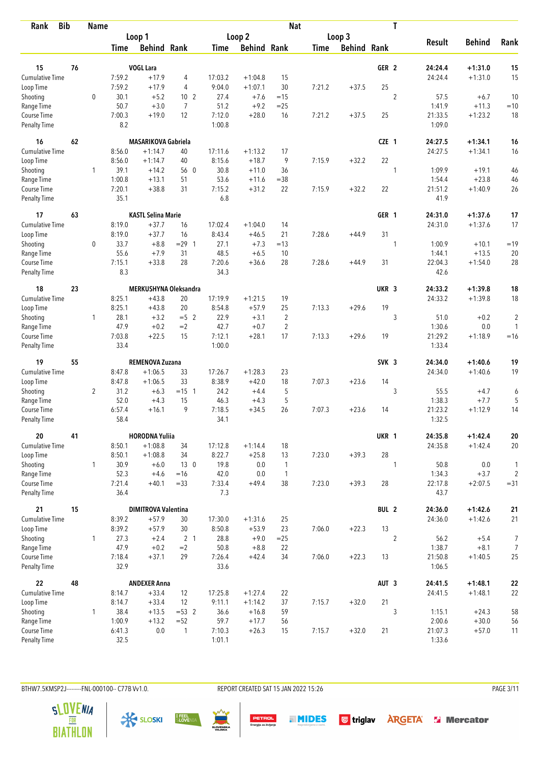| <b>Bib</b><br>Rank                 |    | <b>Name</b>    |                |                            |                 |                |                    | <b>Nat</b>     |             |                    |                  | T              |                 |               |                         |
|------------------------------------|----|----------------|----------------|----------------------------|-----------------|----------------|--------------------|----------------|-------------|--------------------|------------------|----------------|-----------------|---------------|-------------------------|
|                                    |    |                |                | Loop 1                     |                 |                | Loop 2             |                |             | Loop 3             |                  |                |                 |               |                         |
|                                    |    |                | Time           | <b>Behind Rank</b>         |                 | Time           | <b>Behind Rank</b> |                | <b>Time</b> | <b>Behind Rank</b> |                  |                | <b>Result</b>   | <b>Behind</b> | Rank                    |
| 15                                 | 76 |                |                | <b>VOGL Lara</b>           |                 |                |                    |                |             |                    | GER <sub>2</sub> |                | 24:24.4         | $+1:31.0$     | 15                      |
| <b>Cumulative Time</b>             |    |                | 7:59.2         | $+17.9$                    | 4               | 17:03.2        | $+1:04.8$          | 15             |             |                    |                  |                | 24:24.4         | $+1:31.0$     | 15                      |
| Loop Time                          |    |                | 7:59.2         | $+17.9$                    | 4               | 9:04.0         | $+1:07.1$          | 30             | 7:21.2      | $+37.5$            | 25               |                |                 |               |                         |
| Shooting                           |    | $\mathbf 0$    | 30.1           | $+5.2$                     | 10 <sub>2</sub> | 27.4           | $+7.6$             | $=15$          |             |                    |                  | $\overline{2}$ | 57.5            | $+6.7$        | 10                      |
| Range Time                         |    |                | 50.7           | $+3.0$                     | 7               | 51.2           | $+9.2$             | $=25$          |             |                    |                  |                | 1:41.9          | $+11.3$       | $=10$                   |
| Course Time                        |    |                | 7:00.3         | $+19.0$                    | 12              | 7:12.0         | $+28.0$            | 16             | 7:21.2      | $+37.5$            | 25               |                | 21:33.5         | $+1:23.2$     | 18                      |
| <b>Penalty Time</b>                |    |                | 8.2            |                            |                 | 1:00.8         |                    |                |             |                    |                  |                | 1:09.0          |               |                         |
| 16                                 | 62 |                |                | <b>MASARIKOVA Gabriela</b> |                 |                |                    |                |             |                    | CZE 1            |                | 24:27.5         | $+1:34.1$     | 16                      |
| <b>Cumulative Time</b>             |    |                | 8:56.0         | $+1:14.7$                  | 40              | 17:11.6        | $+1:13.2$          | 17             |             |                    |                  |                | 24:27.5         | $+1:34.1$     | 16                      |
| Loop Time                          |    |                | 8:56.0         | $+1:14.7$                  | 40              | 8:15.6         | $+18.7$            | 9              | 7:15.9      | $+32.2$            | 22               |                |                 |               |                         |
| Shooting                           |    | 1              | 39.1           | $+14.2$                    | 56 0            | 30.8           | $+11.0$            | 36             |             |                    |                  | 1              | 1:09.9          | $+19.1$       | 46                      |
| Range Time                         |    |                | 1:00.8         | $+13.1$                    | 51              | 53.6           | $+11.6$            | $= 38$         |             |                    |                  |                | 1:54.4          | $+23.8$       | 46                      |
| Course Time                        |    |                | 7:20.1         | $+38.8$                    | 31              | 7:15.2         | $+31.2$            | 22             | 7:15.9      | $+32.2$            | 22               |                | 21:51.2         | $+1:40.9$     | 26                      |
| Penalty Time                       |    |                | 35.1           |                            |                 | 6.8            |                    |                |             |                    |                  |                | 41.9            |               |                         |
| 17                                 | 63 |                |                | <b>KASTL Selina Marie</b>  |                 |                |                    |                |             |                    | GER 1            |                | 24:31.0         | $+1:37.6$     | 17                      |
| <b>Cumulative Time</b>             |    |                | 8:19.0         | $+37.7$                    | 16              | 17:02.4        | $+1:04.0$          | 14             |             |                    |                  |                | 24:31.0         | $+1:37.6$     | 17                      |
| Loop Time                          |    |                | 8:19.0         | $+37.7$                    | 16              | 8:43.4         | $+46.5$            | 21             | 7:28.6      | $+44.9$            | 31               |                |                 |               |                         |
| Shooting                           |    | $\mathbf 0$    | 33.7           | $+8.8$                     | $= 29$ 1        | 27.1           | $+7.3$             | $=13$          |             |                    |                  | 1              | 1:00.9          | $+10.1$       | $=19$                   |
| Range Time                         |    |                | 55.6           | $+7.9$                     | 31              | 48.5           | $+6.5$             | 10             |             |                    |                  |                | 1:44.1          | $+13.5$       | 20                      |
| Course Time<br><b>Penalty Time</b> |    |                | 7:15.1<br>8.3  | $+33.8$                    | 28              | 7:20.6<br>34.3 | $+36.6$            | 28             | 7:28.6      | $+44.9$            | 31               |                | 22:04.3<br>42.6 | $+1:54.0$     | 28                      |
| 18                                 | 23 |                |                | MERKUSHYNA Oleksandra      |                 |                |                    |                |             |                    | UKR <sub>3</sub> |                | 24:33.2         | $+1:39.8$     | 18                      |
| Cumulative Time                    |    |                | 8:25.1         | $+43.8$                    | 20              | 17:19.9        | $+1:21.5$          | 19             |             |                    |                  |                | 24:33.2         | $+1:39.8$     | 18                      |
| Loop Time                          |    |                | 8:25.1         | $+43.8$                    | 20              | 8:54.8         | $+57.9$            | 25             | 7:13.3      | $+29.6$            | 19               |                |                 |               |                         |
| Shooting                           |    | 1              | 28.1           | $+3.2$                     | $=5$ 2          | 22.9           | $+3.1$             | $\overline{2}$ |             |                    |                  | 3              | 51.0            | $+0.2$        | $\overline{\mathbf{c}}$ |
| Range Time                         |    |                | 47.9           | $+0.2$                     | $=2$            | 42.7           | $+0.7$             | $\overline{2}$ |             |                    |                  |                | 1:30.6          | 0.0           | $\mathbf{1}$            |
| Course Time                        |    |                | 7:03.8         | $+22.5$                    | 15              | 7:12.1         | $+28.1$            | 17             | 7:13.3      | $+29.6$            | 19               |                | 21:29.2         | $+1:18.9$     | $=16$                   |
| <b>Penalty Time</b>                |    |                | 33.4           |                            |                 | 1:00.0         |                    |                |             |                    |                  |                | 1:33.4          |               |                         |
| 19                                 | 55 |                |                | REMENOVA Zuzana            |                 |                |                    |                |             |                    | SVK <sub>3</sub> |                | 24:34.0         | $+1:40.6$     | 19                      |
| Cumulative Time                    |    |                | 8:47.8         | $+1:06.5$                  | 33              | 17:26.7        | $+1:28.3$          | 23             |             |                    |                  |                | 24:34.0         | $+1:40.6$     | 19                      |
| Loop Time                          |    |                | 8:47.8         | $+1:06.5$                  | 33              | 8:38.9         | $+42.0$            | 18             | 7:07.3      | $+23.6$            | 14               |                |                 |               |                         |
| Shooting                           |    | $\overline{2}$ | 31.2           | $+6.3$                     | $= 15 \quad 1$  | 24.2           | $+4.4$             | 5              |             |                    |                  | 3              | 55.5            | $+4.7$        | 6                       |
| Range Time                         |    |                | 52.0           | $+4.3$                     | 15              | 46.3           | $+4.3$             | 5              |             |                    |                  |                | 1:38.3          | $+7.7$        | $\sqrt{5}$              |
| Course Time                        |    |                | 6:57.4         | $+16.1$                    | 9               | 7:18.5         | $+34.5$            | 26             | 7:07.3      | $+23.6$            | 14               |                | 21:23.2         | $+1:12.9$     | 14                      |
| <b>Penalty Time</b>                |    |                | 58.4           |                            |                 | 34.1           |                    |                |             |                    |                  |                | 1:32.5          |               |                         |
| 20                                 | 41 |                |                | <b>HORODNA Yuliia</b>      |                 |                |                    |                |             |                    | UKR 1            |                | 24:35.8         | $+1:42.4$     | ${\bf 20}$              |
| Cumulative Time                    |    |                | 8:50.1         | $+1:08.8$                  | 34              | 17:12.8        | $+1:14.4$          | 18             |             |                    |                  |                | 24:35.8         | $+1:42.4$     | $20\,$                  |
| Loop Time                          |    |                | 8:50.1         | $+1:08.8$                  | 34              | 8:22.7         | $+25.8$            | 13             | 7:23.0      | $+39.3$            | 28               |                |                 |               |                         |
| Shooting                           |    | $\mathbf{1}$   | 30.9           | $+6.0$                     | 13 <sub>0</sub> | 19.8           | 0.0                | $\mathbf{1}$   |             |                    |                  | 1              | 50.8            | 0.0           | $\mathbf{1}$            |
| Range Time                         |    |                | 52.3           | $+4.6$                     | $=16$           | 42.0           | 0.0                | $\overline{1}$ |             |                    |                  |                | 1:34.3          | $+3.7$        | $\overline{c}$          |
| Course Time<br>Penalty Time        |    |                | 7:21.4<br>36.4 | $+40.1$                    | $=33$           | 7:33.4<br>7.3  | $+49.4$            | 38             | 7:23.0      | $+39.3$            | 28               |                | 22:17.8<br>43.7 | $+2:07.5$     | $= 31$                  |
| 21                                 | 15 |                |                | <b>DIMITROVA Valentina</b> |                 |                |                    |                |             |                    | BUL 2            |                | 24:36.0         | $+1:42.6$     | 21                      |
| <b>Cumulative Time</b>             |    |                | 8:39.2         | $+57.9$                    | 30              | 17:30.0        | $+1:31.6$          | 25             |             |                    |                  |                | 24:36.0         | $+1:42.6$     | 21                      |
| Loop Time                          |    |                | 8:39.2         | $+57.9$                    | 30              | 8:50.8         | $+53.9$            | 23             | 7:06.0      | $+22.3$            | 13               |                |                 |               |                         |
| Shooting                           |    | $\mathbf{1}$   | 27.3           | $+2.4$                     | 2 <sub>1</sub>  | 28.8           | $+9.0$             | $=25$          |             |                    |                  | $\overline{2}$ | 56.2            | $+5.4$        | 7                       |
| Range Time                         |    |                | 47.9           | $+0.2$                     | $=2$            | 50.8           | $+8.8$             | 22             |             |                    |                  |                | 1:38.7          | $+8.1$        | 7                       |
| Course Time                        |    |                | 7:18.4         | $+37.1$                    | 29              | 7:26.4         | $+42.4$            | 34             | 7:06.0      | $+22.3$            | 13               |                | 21:50.8         | $+1:40.5$     | 25                      |
| Penalty Time                       |    |                | 32.9           |                            |                 | 33.6           |                    |                |             |                    |                  |                | 1:06.5          |               |                         |
| 22                                 | 48 |                |                | <b>ANDEXER Anna</b>        |                 |                |                    |                |             |                    | AUT <sub>3</sub> |                | 24:41.5         | $+1:48.1$     | ${\bf 22}$              |
| Cumulative Time                    |    |                | 8:14.7         | $+33.4$                    | 12              | 17:25.8        | $+1:27.4$          | 22             |             |                    |                  |                | 24:41.5         | $+1:48.1$     | 22                      |
| Loop Time                          |    |                | 8:14.7         | $+33.4$                    | 12              | 9:11.1         | $+1:14.2$          | 37             | 7:15.7      | $+32.0$            | 21               |                |                 |               |                         |
| Shooting                           |    | 1              | 38.4           | $+13.5$                    | $= 53$ 2        | 36.6           | $+16.8$            | 59             |             |                    |                  | 3              | 1:15.1          | $+24.3$       | 58                      |
| Range Time                         |    |                | 1:00.9         | $+13.2$                    | $=52$           | 59.7           | $+17.7$            | 56             |             |                    |                  |                | 2:00.6          | $+30.0$       | 56                      |
| Course Time                        |    |                | 6:41.3         | 0.0                        | $\mathbf{1}$    | 7:10.3         | $+26.3$            | 15             | 7:15.7      | $+32.0$            | 21               |                | 21:07.3         | $+57.0$       | 11                      |
| <b>Penalty Time</b>                |    |                | 32.5           |                            |                 | 1:01.1         |                    |                |             |                    |                  |                | 1:33.6          |               |                         |

BTHW7.5KMSP2J--------FNL-000100-- C77B Vv1.0. REPORT CREATED SAT 15 JAN 2022 15:26 PAGE 3/11

**PETROL**<br>Energija za življenje





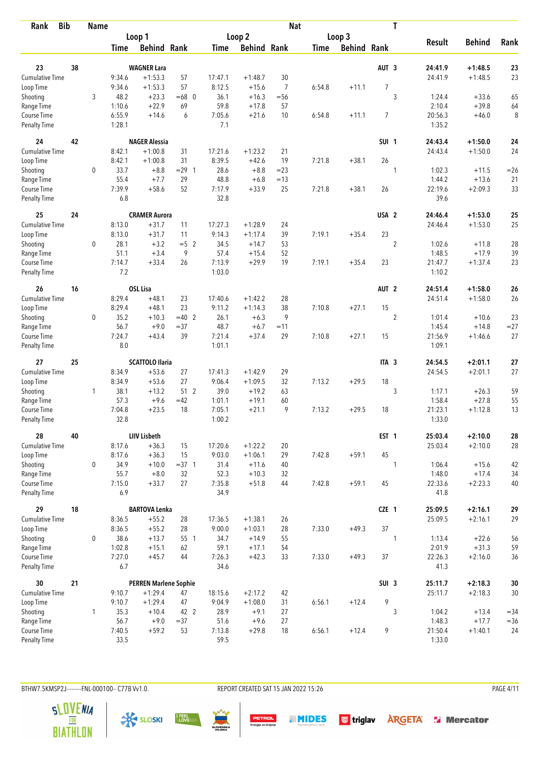| <b>Bib</b><br>Rank          |    | <b>Name</b>  |               |                              |          |                |                    | <b>Nat</b>     |             |                    |                  | T                |                 |               |          |
|-----------------------------|----|--------------|---------------|------------------------------|----------|----------------|--------------------|----------------|-------------|--------------------|------------------|------------------|-----------------|---------------|----------|
|                             |    |              |               | Loop 1                       |          |                | Loop 2             |                |             | Loop 3             |                  |                  |                 |               |          |
|                             |    |              | <b>Time</b>   | <b>Behind Rank</b>           |          | Time           | <b>Behind Rank</b> |                | <b>Time</b> | <b>Behind Rank</b> |                  |                  | <b>Result</b>   | <b>Behind</b> | Rank     |
| 23                          | 38 |              |               | <b>WAGNER Lara</b>           |          |                |                    |                |             |                    | AUT <sub>3</sub> |                  | 24:41.9         | $+1:48.5$     | 23       |
| Cumulative Time             |    |              | 9:34.6        | $+1:53.3$                    | 57       | 17:47.1        | $+1:48.7$          | 30             |             |                    |                  |                  | 24:41.9         | $+1:48.5$     | 23       |
|                             |    |              | 9:34.6        | $+1:53.3$                    | 57       | 8:12.5         | $+15.6$            | $\overline{7}$ | 6:54.8      | $+11.1$            | $\overline{7}$   |                  |                 |               |          |
| Loop Time                   |    | 3            | 48.2          | $+23.3$                      | $=68$ 0  | 36.1           | $+16.3$            |                |             |                    |                  | 3                | 1:24.4          | $+33.6$       |          |
| Shooting<br>Range Time      |    |              | 1:10.6        | $+22.9$                      | 69       | 59.8           | $+17.8$            | $= 56$<br>57   |             |                    |                  |                  | 2:10.4          | $+39.8$       | 65<br>64 |
| Course Time                 |    |              | 6:55.9        | $+14.6$                      | 6        | 7:05.6         | $+21.6$            | 10             | 6:54.8      | $+11.1$            | 7                |                  | 20:56.3         | $+46.0$       | 8        |
| <b>Penalty Time</b>         |    |              | 1:28.1        |                              |          | 7.1            |                    |                |             |                    |                  |                  | 1:35.2          |               |          |
| 24                          | 42 |              |               | <b>NAGER Alessia</b>         |          |                |                    |                |             |                    | SUI <sub>1</sub> |                  | 24:43.4         | $+1:50.0$     | 24       |
| Cumulative Time             |    |              | 8:42.1        | $+1:00.8$                    | 31       | 17:21.6        | $+1:23.2$          | 21             |             |                    |                  |                  | 24:43.4         | $+1:50.0$     | 24       |
| Loop Time                   |    |              | 8:42.1        | $+1:00.8$                    | 31       | 8:39.5         | $+42.6$            | 19             | 7:21.8      | $+38.1$            | 26               |                  |                 |               |          |
| Shooting                    |    | 0            | 33.7          | $+8.8$                       | $= 29$ 1 | 28.6           | $+8.8$             | $=23$          |             |                    |                  | 1                | 1:02.3          | $+11.5$       | $=26$    |
| Range Time                  |    |              | 55.4          | $+7.7$                       | 29       | 48.8           | $+6.8$             | $=13$          |             |                    |                  |                  | 1:44.2          | $+13.6$       | 21       |
| Course Time                 |    |              | 7:39.9        | $+58.6$                      | 52       | 7:17.9         | $+33.9$            | 25             | 7:21.8      | $+38.1$            | 26               |                  | 22:19.6         | $+2:09.3$     | 33       |
| <b>Penalty Time</b>         |    |              | 6.8           |                              |          | 32.8           |                    |                |             |                    |                  |                  | 39.6            |               |          |
| 25                          | 24 |              |               | <b>CRAMER Aurora</b>         |          |                |                    |                |             |                    | USA <sub>2</sub> |                  | 24:46.4         | $+1:53.0$     | 25       |
| <b>Cumulative Time</b>      |    |              | 8:13.0        | $+31.7$                      | 11       | 17:27.3        | $+1:28.9$          | 24             |             |                    |                  |                  | 24:46.4         | $+1:53.0$     | 25       |
| Loop Time                   |    |              | 8:13.0        | $+31.7$                      | 11       | 9:14.3         | $+1:17.4$          | 39             | 7:19.1      | $+35.4$            | 23               |                  |                 |               |          |
| Shooting                    |    | $\mathbf 0$  | 28.1          | $+3.2$                       | $=5$ 2   | 34.5           | $+14.7$            | 53             |             |                    |                  | $\boldsymbol{2}$ | 1:02.6          | $+11.8$       | 28       |
| Range Time                  |    |              | 51.1          | $+3.4$                       | 9        | 57.4           | $+15.4$            | 52             |             |                    |                  |                  | 1:48.5          | $+17.9$       | 39       |
| Course Time                 |    |              | 7:14.7        | $+33.4$                      | 26       | 7:13.9         | $+29.9$            | 19             | 7:19.1      | $+35.4$            | 23               |                  | 21:47.7         | $+1:37.4$     | 23       |
| <b>Penalty Time</b>         |    |              | 7.2           |                              |          | 1:03.0         |                    |                |             |                    |                  |                  | 1:10.2          |               |          |
| 26                          | 16 |              |               | <b>OSL Lisa</b>              |          |                |                    |                |             |                    | AUT <sub>2</sub> |                  | 24:51.4         | $+1:58.0$     | 26       |
| Cumulative Time             |    |              | 8:29.4        | $+48.1$                      | 23       | 17:40.6        | $+1:42.2$          | 28             |             |                    |                  |                  | 24:51.4         | $+1:58.0$     | 26       |
| Loop Time                   |    |              | 8:29.4        | $+48.1$                      | 23       | 9:11.2         | $+1:14.3$          | 38             | 7:10.8      | $+27.1$            | 15               |                  |                 |               |          |
| Shooting                    |    | 0            | 35.2          | $+10.3$                      | $=40$ 2  | 26.1           | $+6.3$             | 9              |             |                    |                  | $\overline{2}$   | 1:01.4          | $+10.6$       | 23       |
| Range Time                  |    |              | 56.7          | $+9.0$                       | $= 37$   | 48.7           | $+6.7$             | $=11$          |             |                    |                  |                  | 1:45.4          | $+14.8$       | $= 27$   |
| Course Time                 |    |              | 7:24.7        | $+43.4$                      | 39       | 7:21.4         | $+37.4$            | 29             | 7:10.8      | $+27.1$            | 15               |                  | 21:56.9         | $+1:46.6$     | 27       |
| <b>Penalty Time</b>         |    |              | 8.0           |                              |          | 1:01.1         |                    |                |             |                    |                  |                  | 1:09.1          |               |          |
| 27                          | 25 |              |               | <b>SCATTOLO Ilaria</b>       |          |                |                    |                |             |                    | ITA <sub>3</sub> |                  | 24:54.5         | $+2:01.1$     | 27       |
| <b>Cumulative Time</b>      |    |              | 8:34.9        | $+53.6$                      | 27       | 17:41.3        | $+1:42.9$          | 29             |             |                    |                  |                  | 24:54.5         | $+2:01.1$     | 27       |
| Loop Time                   |    |              | 8:34.9        | $+53.6$                      | 27       | 9:06.4         | $+1:09.5$          | 32             | 7:13.2      | $+29.5$            | 18               |                  |                 |               |          |
| Shooting                    |    | $\mathbf{1}$ | 38.1          | $+13.2$                      | 512      | 39.0           | $+19.2$            | 63             |             |                    |                  | 3                | 1:17.1          | $+26.3$       | 59       |
| Range Time                  |    |              | 57.3          | $+9.6$                       | $=42$    | 1:01.1         | $+19.1$            | 60             |             |                    |                  |                  | 1:58.4          | $+27.8$       | 55       |
| Course Time                 |    |              | 7:04.8        | $+23.5$                      | 18       | 7:05.1         | $+21.1$            | 9              | 7:13.2      | $+29.5$            | 18               |                  | 21:23.1         | $+1:12.8$     | 13       |
| <b>Penalty Time</b>         |    |              | 32.8          |                              |          | 1:00.2         |                    |                |             |                    |                  |                  | 1:33.0          |               |          |
| 28                          | 40 |              |               | <b>LIIV Lisbeth</b>          |          |                |                    |                |             |                    | EST <sub>1</sub> |                  | 25:03.4         | $+2:10.0$     | 28       |
| <b>Cumulative Time</b>      |    |              | 8:17.6        | $+36.3$                      | 15       | 17:20.6        | $+1:22.2$          | 20             |             |                    |                  |                  | 25:03.4         | $+2:10.0$     | 28       |
| Loop Time                   |    |              | 8:17.6        | $+36.3$                      | 15       | 9:03.0         | $+1:06.1$          | 29             | 7:42.8      | $+59.1$            | 45               |                  |                 |               |          |
| Shooting                    |    | 0            | 34.9          | $+10.0$                      | $=37.1$  | 31.4           | $+11.6$            | 40             |             |                    |                  | 1                | 1:06.4          | $+15.6$       | 42       |
| Range Time                  |    |              | 55.7          | $+8.0$                       | 32       | 52.3           | $+10.3$            | 32             |             |                    |                  |                  | 1:48.0          | $+17.4$       | 34       |
| Course Time<br>Penalty Time |    |              | 7:15.0<br>6.9 | $+33.7$                      | 27       | 7:35.8<br>34.9 | $+51.8$            | 44             | 7:42.8      | $+59.1$            | 45               |                  | 22:33.6<br>41.8 | $+2:23.3$     | 40       |
| 29                          | 18 |              |               | <b>BARTOVA Lenka</b>         |          |                |                    |                |             |                    | CZE 1            |                  | 25:09.5         | $+2:16.1$     | 29       |
| <b>Cumulative Time</b>      |    |              | 8:36.5        | $+55.2$                      | 28       | 17:36.5        | $+1:38.1$          | 26             |             |                    |                  |                  | 25:09.5         | $+2:16.1$     | 29       |
| Loop Time                   |    |              | 8:36.5        | $+55.2$                      | 28       | 9:00.0         | $+1:03.1$          | 28             | 7:33.0      | $+49.3$            | 37               |                  |                 |               |          |
| Shooting                    |    | 0            | 38.6          | $+13.7$                      | 55 1     | 34.7           | $+14.9$            | 55             |             |                    |                  | 1                | 1:13.4          | $+22.6$       | 56       |
| Range Time                  |    |              | 1:02.8        | $+15.1$                      | 62       | 59.1           | $+17.1$            | 54             |             |                    |                  |                  | 2:01.9          | $+31.3$       | 59       |
| Course Time                 |    |              | 7:27.0        | $+45.7$                      | 44       | 7:26.3         | $+42.3$            | 33             | 7:33.0      | $+49.3$            | 37               |                  | 22:26.3         | $+2:16.0$     | 36       |
| Penalty Time                |    |              | 6.7           |                              |          | 34.6           |                    |                |             |                    |                  |                  | 41.3            |               |          |
| 30                          | 21 |              |               | <b>PERREN Marlene Sophie</b> |          |                |                    |                |             |                    | SUI <sub>3</sub> |                  | 25:11.7         | $+2:18.3$     | $30\,$   |
| <b>Cumulative Time</b>      |    |              | 9:10.7        | $+1:29.4$                    | 47       | 18:15.6        | $+2:17.2$          | 42             |             |                    |                  |                  | 25:11.7         | $+2:18.3$     | $30\,$   |
| Loop Time                   |    |              | 9:10.7        | $+1:29.4$                    | 47       | 9:04.9         | $+1:08.0$          | 31             | 6:56.1      | $+12.4$            | 9                |                  |                 |               |          |
| Shooting                    |    | 1            | 35.3          | $+10.4$                      | 42 2     | 28.9           | $+9.1$             | 27             |             |                    |                  | 3                | 1:04.2          | $+13.4$       | $= 34$   |
| Range Time                  |    |              | 56.7          | $+9.0$                       | $=37$    | 51.6           | $+9.6$             | 27             |             |                    |                  |                  | 1:48.3          | $+17.7$       | $=36$    |
| Course Time                 |    |              | 7:40.5        | $+59.2$                      | 53       | 7:13.8         | $+29.8$            | 18             | 6:56.1      | $+12.4$            | 9                |                  | 21:50.4         | $+1:40.1$     | 24       |
| Penalty Time                |    |              | 33.5          |                              |          | 59.5           |                    |                |             |                    |                  |                  | 1:33.0          |               |          |

BTHW7.5KMSP2J--------FNL-000100-- C77B Vv1.0. REPORT CREATED SAT 15 JAN 2022 15:26 PAGE 4/11

**PETROL**<br>Energija za življenje





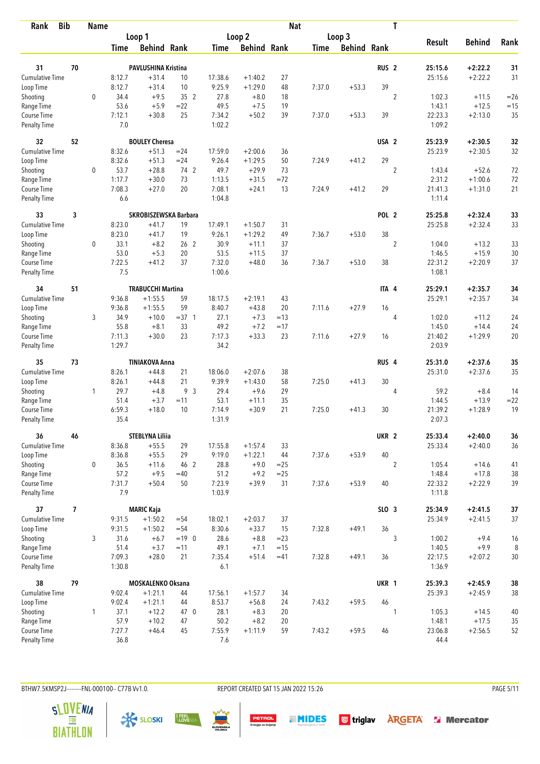| <b>Bib</b><br>Rank          |                          | <b>Name</b>  |               |                          |                 |                  |                    | <b>Nat</b> |             |                    |                  | T              |                   |               |        |
|-----------------------------|--------------------------|--------------|---------------|--------------------------|-----------------|------------------|--------------------|------------|-------------|--------------------|------------------|----------------|-------------------|---------------|--------|
|                             |                          |              |               | Loop 1                   |                 |                  | Loop 2             |            |             | Loop 3             |                  |                |                   |               |        |
|                             |                          |              | Time          | <b>Behind Rank</b>       |                 | Time             | <b>Behind Rank</b> |            | <b>Time</b> | <b>Behind Rank</b> |                  |                | <b>Result</b>     | <b>Behind</b> | Rank   |
| 31                          | 70                       |              |               | PAVLUSHINA Kristina      |                 |                  |                    |            |             |                    | RUS <sub>2</sub> |                | 25:15.6           | $+2:22.2$     | 31     |
| <b>Cumulative Time</b>      |                          |              | 8:12.7        | $+31.4$                  | 10              | 17:38.6          | $+1:40.2$          | 27         |             |                    |                  |                | 25:15.6           | $+2:22.2$     | 31     |
| Loop Time                   |                          |              | 8:12.7        | $+31.4$                  | 10              | 9:25.9           | $+1:29.0$          | 48         | 7:37.0      | $+53.3$            | 39               |                |                   |               |        |
| Shooting                    |                          | $\mathbf 0$  | 34.4          | $+9.5$                   | 35 2            | 27.8             | $+8.0$             | 18         |             |                    |                  | $\overline{2}$ | 1:02.3            | $+11.5$       | $=26$  |
| Range Time                  |                          |              | 53.6          | $+5.9$                   | $= 22$          | 49.5             | $+7.5$             | 19         |             |                    |                  |                | 1:43.1            | $+12.5$       | $=15$  |
| Course Time                 |                          |              | 7:12.1        | $+30.8$                  | 25              | 7:34.2           | $+50.2$            | 39         | 7:37.0      | $+53.3$            | 39               |                | 22:23.3           | $+2:13.0$     | 35     |
| <b>Penalty Time</b>         |                          |              | 7.0           |                          |                 | 1:02.2           |                    |            |             |                    |                  |                | 1:09.2            |               |        |
| 32                          | 52                       |              |               | <b>BOULEY Cheresa</b>    |                 |                  |                    |            |             |                    | USA <sub>2</sub> |                | 25:23.9           | $+2:30.5$     | 32     |
| Cumulative Time             |                          |              | 8:32.6        | $+51.3$                  | $= 24$          | 17:59.0          | $+2:00.6$          | 36         |             |                    |                  |                | 25:23.9           | $+2:30.5$     | 32     |
| Loop Time                   |                          |              | 8:32.6        | $+51.3$                  | $= 24$          | 9:26.4           | $+1:29.5$          | 50         | 7:24.9      | $+41.2$            | 29               |                |                   |               |        |
| Shooting                    |                          | 0            | 53.7          | $+28.8$                  | 74 2            | 49.7             | $+29.9$            | 73         |             |                    |                  | $\overline{2}$ | 1:43.4            | $+52.6$       | 72     |
| Range Time                  |                          |              | 1:17.7        | $+30.0$                  | 73              | 1:13.5           | $+31.5$            | $= 72$     |             |                    |                  |                | 2:31.2            | $+1:00.6$     | 72     |
| Course Time                 |                          |              | 7:08.3        | $+27.0$                  | 20              | 7:08.1           | $+24.1$            | 13         | 7:24.9      | $+41.2$            | 29               |                | 21:41.3           | $+1:31.0$     | 21     |
| Penalty Time                |                          |              | 6.6           |                          |                 | 1:04.8           |                    |            |             |                    |                  |                | 1:11.4            |               |        |
| 33                          | 3                        |              |               | SKROBISZEWSKA Barbara    |                 |                  |                    |            |             |                    | POL <sub>2</sub> |                | 25:25.8           | $+2:32.4$     | 33     |
| <b>Cumulative Time</b>      |                          |              | 8:23.0        | $+41.7$                  | 19              | 17:49.1          | $+1:50.7$          | 31         |             |                    |                  |                | 25:25.8           | $+2:32.4$     | 33     |
| Loop Time                   |                          |              | 8:23.0        | $+41.7$                  | 19              | 9:26.1           | $+1:29.2$          | 49         | 7:36.7      | $+53.0$            | 38               |                |                   |               |        |
| Shooting                    |                          | 0            | 33.1          | $+8.2$                   | 26 <sub>2</sub> | 30.9             | $+11.1$            | 37         |             |                    |                  | $\sqrt{2}$     | 1:04.0            | $+13.2$       | 33     |
| Range Time                  |                          |              | 53.0          | $+5.3$                   | 20              | 53.5             | $+11.5$            | 37         |             |                    |                  |                | 1:46.5            | $+15.9$       | $30\,$ |
| Course Time                 |                          |              | 7:22.5        | $+41.2$                  | 37              | 7:32.0           | $+48.0$            | 36         | 7:36.7      | $+53.0$            | 38               |                | 22:31.2           | $+2:20.9$     | 37     |
| <b>Penalty Time</b>         |                          |              | 7.5           |                          |                 | 1:00.6           |                    |            |             |                    |                  |                | 1:08.1            |               |        |
| 34                          | 51                       |              |               | <b>TRABUCCHI Martina</b> |                 |                  |                    |            |             |                    | ITA 4            |                | 25:29.1           | $+2:35.7$     | 34     |
| <b>Cumulative Time</b>      |                          |              | 9:36.8        | $+1:55.5$                | 59              | 18:17.5          | $+2:19.1$          | 43         |             |                    |                  |                | 25:29.1           | $+2:35.7$     | 34     |
| Loop Time                   |                          |              | 9:36.8        | $+1:55.5$                | 59              | 8:40.7           | $+43.8$            | 20         | 7:11.6      | $+27.9$            | 16               |                |                   |               |        |
| Shooting                    |                          | 3            | 34.9          | $+10.0$                  | $=37.1$         | 27.1             | $+7.3$             | $=13$      |             |                    |                  | 4              | 1:02.0            | $+11.2$       | 24     |
| Range Time                  |                          |              | 55.8          | $+8.1$                   | 33              | 49.2             | $+7.2$             | $=17$      |             |                    |                  |                | 1:45.0            | $+14.4$       | 24     |
| Course Time                 |                          |              | 7:11.3        | $+30.0$                  | 23              | 7:17.3           | $+33.3$            | 23         | 7:11.6      | $+27.9$            | 16               |                | 21:40.2           | $+1:29.9$     | 20     |
| <b>Penalty Time</b>         |                          |              | 1:29.7        |                          |                 | 34.2             |                    |            |             |                    |                  |                | 2:03.9            |               |        |
| 35                          | 73                       |              |               | <b>TINIAKOVA Anna</b>    |                 |                  |                    |            |             |                    | RUS <sub>4</sub> |                | 25:31.0           | $+2:37.6$     | 35     |
| Cumulative Time             |                          |              | 8:26.1        | $+44.8$                  | 21              | 18:06.0          | $+2:07.6$          | 38         |             |                    |                  |                | 25:31.0           | $+2:37.6$     | 35     |
| Loop Time                   |                          |              | 8:26.1        | $+44.8$                  | 21              | 9:39.9           | $+1:43.0$          | 58         | 7:25.0      | $+41.3$            | 30               |                |                   |               |        |
| Shooting                    |                          | 1            | 29.7          | $+4.8$                   | 9 <sup>3</sup>  | 29.4             | $+9.6$             | 29         |             |                    |                  | 4              | 59.2              | $+8.4$        | 14     |
| Range Time                  |                          |              | 51.4          | $+3.7$                   | $=11$           | 53.1             | $+11.1$            | 35         |             |                    |                  |                | 1:44.5            | $+13.9$       | $= 22$ |
| Course Time                 |                          |              | 6:59.3        | $+18.0$                  | 10              | 7:14.9           | $+30.9$            | 21         | 7:25.0      | $+41.3$            | 30               |                | 21:39.2           | $+1:28.9$     | 19     |
| Penalty Time                |                          |              | 35.4          |                          |                 | 1:31.9           |                    |            |             |                    |                  |                | 2:07.3            |               |        |
| 36                          | 46                       |              |               | <b>STEBLYNA Liliia</b>   |                 |                  |                    |            |             |                    | UKR <sub>2</sub> |                | 25:33.4           | $+2:40.0$     | 36     |
| <b>Cumulative Time</b>      |                          |              | 8:36.8        | $+55.5$                  | 29              | 17:55.8          | $+1:57.4$          | 33         |             |                    |                  |                | 25:33.4           | $+2:40.0$     | 36     |
| Loop Time                   |                          |              | 8:36.8        | $+55.5$                  | 29              | 9:19.0           | $+1:22.1$          | 44         | 7:37.6      | $+53.9$            | 40               |                |                   |               |        |
| Shooting                    |                          | 0            | 36.5          | $+11.6$                  | 46 2            | 28.8             | $+9.0$             | $= 25$     |             |                    |                  | $\overline{2}$ | 1:05.4            | $+14.6$       | 41     |
| Range Time                  |                          |              | 57.2          | $+9.5$                   | $=40$           | 51.2             | $+9.2$             | $= 25$     |             |                    |                  |                | 1:48.4            | $+17.8$       | 38     |
| Course Time<br>Penalty Time |                          |              | 7:31.7<br>7.9 | $+50.4$                  | 50              | 7:23.9<br>1:03.9 | $+39.9$            | 31         | 7:37.6      | $+53.9$            | 40               |                | 22:33.2<br>1:11.8 | $+2:22.9$     | 39     |
| 37                          | $\overline{\phantom{a}}$ |              |               | <b>MARIC Kaja</b>        |                 |                  |                    |            |             |                    | SLO 3            |                | 25:34.9           | $+2:41.5$     | $37$   |
| <b>Cumulative Time</b>      |                          |              | 9:31.5        | $+1:50.2$                | $= 54$          | 18:02.1          | $+2:03.7$          | 37         |             |                    |                  |                | 25:34.9           | $+2:41.5$     | 37     |
| Loop Time                   |                          |              | 9:31.5        | $+1:50.2$                | $= 54$          | 8:30.6           | $+33.7$            | 15         | 7:32.8      | $+49.1$            | 36               |                |                   |               |        |
| Shooting                    |                          | 3            | 31.6          | $+6.7$                   | $=19$ 0         | 28.6             | $+8.8$             | $= 23$     |             |                    |                  | 3              | 1:00.2            | $+9.4$        | 16     |
| Range Time                  |                          |              | 51.4          | $+3.7$                   | $=11$           | 49.1             | $+7.1$             | $=15$      |             |                    |                  |                | 1:40.5            | $+9.9$        | 8      |
| Course Time                 |                          |              | 7:09.3        | $+28.0$                  | 21              | 7:35.4           | $+51.4$            | $=41$      | 7:32.8      | $+49.1$            | 36               |                | 22:17.5           | $+2:07.2$     | 30     |
| Penalty Time                |                          |              | 1:30.8        |                          |                 | 6.1              |                    |            |             |                    |                  |                | 1:36.9            |               |        |
| 38                          | 79                       |              |               | MOSKALENKO Oksana        |                 |                  |                    |            |             |                    | UKR 1            |                | 25:39.3           | $+2:45.9$     | 38     |
| Cumulative Time             |                          |              | 9:02.4        | $+1:21.1$                | 44              | 17:56.1          | $+1:57.7$          | 34         |             |                    |                  |                | 25:39.3           | $+2:45.9$     | 38     |
| Loop Time                   |                          |              | 9:02.4        | $+1:21.1$                | 44              | 8:53.7           | $+56.8$            | 24         | 7:43.2      | $+59.5$            | 46               |                |                   |               |        |
| Shooting                    |                          | $\mathbf{1}$ | 37.1          | $+12.2$                  | 47 0            | 28.1             | $+8.3$             | 20         |             |                    |                  | 1              | 1:05.3            | $+14.5$       | 40     |
| Range Time                  |                          |              | 57.9          | $+10.2$                  | 47              | 50.2             | $+8.2$             | 20         |             |                    |                  |                | 1:48.1            | $+17.5$       | 35     |
| Course Time                 |                          |              | 7:27.7        | $+46.4$                  | 45              | 7:55.9           | $+1:11.9$          | 59         | 7:43.2      | $+59.5$            | 46               |                | 23:06.8           | $+2:56.5$     | 52     |
| <b>Penalty Time</b>         |                          |              | 36.8          |                          |                 | 7.6              |                    |            |             |                    |                  |                | 44.4              |               |        |

BTHW7.5KMSP2J--------FNL-000100-- C77B Vv1.0. REPORT CREATED SAT 15 JAN 2022 15:26 PAGE 5/11











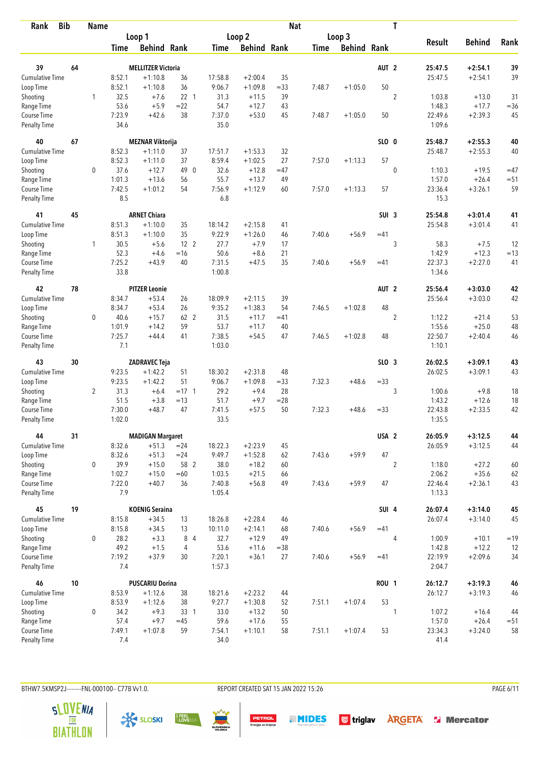| Rank                        | <b>Bib</b> | <b>Name</b>    |               |                           |                 |                  |                    | <b>Nat</b> |             |                    |                  | T              |                   |               |        |
|-----------------------------|------------|----------------|---------------|---------------------------|-----------------|------------------|--------------------|------------|-------------|--------------------|------------------|----------------|-------------------|---------------|--------|
|                             |            |                |               | Loop 1                    |                 |                  | Loop <sub>2</sub>  |            |             | Loop 3             |                  |                |                   |               |        |
|                             |            |                | Time          | <b>Behind Rank</b>        |                 | Time             | <b>Behind Rank</b> |            | <b>Time</b> | <b>Behind Rank</b> |                  |                | <b>Result</b>     | <b>Behind</b> | Rank   |
| 39                          | 64         |                |               | <b>MELLITZER Victoria</b> |                 |                  |                    |            |             |                    | AUT <sub>2</sub> |                | 25:47.5           | $+2:54.1$     | 39     |
| Cumulative Time             |            |                | 8:52.1        | $+1:10.8$                 | 36              | 17:58.8          | $+2:00.4$          | 35         |             |                    |                  |                | 25:47.5           | $+2:54.1$     | 39     |
| Loop Time                   |            |                | 8:52.1        | $+1:10.8$                 | 36              | 9:06.7           | $+1:09.8$          | $= 33$     | 7:48.7      | $+1:05.0$          | 50               |                |                   |               |        |
| Shooting                    |            | 1              | 32.5          | $+7.6$                    | 22 1            | 31.3             | $+11.5$            | 39         |             |                    |                  | $\sqrt{2}$     | 1:03.8            | $+13.0$       | 31     |
| Range Time                  |            |                | 53.6          | $+5.9$                    | $=22$           | 54.7             | $+12.7$            | 43         |             |                    |                  |                | 1:48.3            | $+17.7$       | $= 36$ |
| Course Time                 |            |                | 7:23.9        | $+42.6$                   | 38              | 7:37.0           | $+53.0$            | 45         | 7:48.7      | $+1:05.0$          | 50               |                | 22:49.6           | $+2:39.3$     | 45     |
| <b>Penalty Time</b>         |            |                | 34.6          |                           |                 | 35.0             |                    |            |             |                    |                  |                | 1:09.6            |               |        |
| 40                          | 67         |                |               | <b>MEZNAR Viktorija</b>   |                 |                  |                    |            |             |                    | SLO 0            |                | 25:48.7           | $+2:55.3$     | 40     |
| <b>Cumulative Time</b>      |            |                | 8:52.3        | $+1:11.0$                 | 37              | 17:51.7          | $+1:53.3$          | 32         |             |                    |                  |                | 25:48.7           | $+2:55.3$     | 40     |
| Loop Time                   |            |                | 8:52.3        | $+1:11.0$                 | 37              | 8:59.4           | $+1:02.5$          | 27         | 7:57.0      | $+1:13.3$          | 57               |                |                   |               |        |
| Shooting                    |            | $\mathbf 0$    | 37.6          | $+12.7$                   | 49 0            | 32.6             | $+12.8$            | $=47$      |             |                    |                  | $\mathbf{0}$   | 1:10.3            | $+19.5$       | $=47$  |
| Range Time                  |            |                | 1:01.3        | $+13.6$                   | 56              | 55.7             | $+13.7$            | 49         |             |                    |                  |                | 1:57.0            | $+26.4$       | $=51$  |
| Course Time                 |            |                | 7:42.5        | $+1:01.2$                 | 54              | 7:56.9           | $+1:12.9$          | 60         | 7:57.0      | $+1:13.3$          | 57               |                | 23:36.4           | $+3:26.1$     | 59     |
| Penalty Time                |            |                | 8.5           |                           |                 | 6.8              |                    |            |             |                    |                  |                | 15.3              |               |        |
| 41                          | 45         |                |               | <b>ARNET Chiara</b>       |                 |                  |                    |            |             |                    | SUI <sub>3</sub> |                | 25:54.8           | $+3:01.4$     | 41     |
| <b>Cumulative Time</b>      |            |                | 8:51.3        | $+1:10.0$                 | 35              | 18:14.2          | $+2:15.8$          | 41         |             |                    |                  |                | 25:54.8           | $+3:01.4$     | 41     |
| Loop Time                   |            |                | 8:51.3        | $+1:10.0$                 | 35              | 9:22.9           | $+1:26.0$          | 46         | 7:40.6      | $+56.9$            | $=41$            |                |                   |               |        |
| Shooting                    |            | 1              | 30.5          | $+5.6$                    | 12 <sup>2</sup> | 27.7             | $+7.9$             | 17         |             |                    |                  | 3              | 58.3              | $+7.5$        | 12     |
| Range Time                  |            |                | 52.3          | $+4.6$                    | $=16$           | 50.6             | $+8.6$             | 21         |             |                    |                  |                | 1:42.9            | $+12.3$       | $=13$  |
| Course Time                 |            |                | 7:25.2        | $+43.9$                   | 40              | 7:31.5           | $+47.5$            | 35         | 7:40.6      | $+56.9$            | $=41$            |                | 22:37.3           | $+2:27.0$     | 41     |
| <b>Penalty Time</b>         |            |                | 33.8          |                           |                 | 1:00.8           |                    |            |             |                    |                  |                | 1:34.6            |               |        |
| 42                          | 78         |                |               | <b>PITZER Leonie</b>      |                 |                  |                    |            |             |                    | AUT <sub>2</sub> |                | 25:56.4           | $+3:03.0$     | 42     |
| <b>Cumulative Time</b>      |            |                | 8:34.7        | $+53.4$                   | 26              | 18:09.9          | $+2:11.5$          | 39         |             |                    |                  |                | 25:56.4           | $+3:03.0$     | 42     |
| Loop Time                   |            |                | 8:34.7        | $+53.4$                   | 26              | 9:35.2           | $+1:38.3$          | 54         | 7:46.5      | $+1:02.8$          | 48               |                |                   |               |        |
| Shooting                    |            | 0              | 40.6          | $+15.7$                   | 62 2            | 31.5             | $+11.7$            | $=41$      |             |                    |                  | $\overline{2}$ | 1:12.2            | $+21.4$       | 53     |
| Range Time                  |            |                | 1:01.9        | $+14.2$                   | 59              | 53.7             | $+11.7$            | 40         |             |                    |                  |                | 1:55.6            | $+25.0$       | 48     |
| Course Time                 |            |                | 7:25.7        | $+44.4$                   | 41              | 7:38.5           | $+54.5$            | 47         | 7:46.5      | $+1:02.8$          | 48               |                | 22:50.7           | $+2:40.4$     | 46     |
| <b>Penalty Time</b>         |            |                | 7.1           |                           |                 | 1:03.0           |                    |            |             |                    |                  |                | 1:10.1            |               |        |
| 43                          | 30         |                |               | ZADRAVEC Teja             |                 |                  |                    |            |             |                    | SLO <sub>3</sub> |                | 26:02.5           | $+3:09.1$     | 43     |
| Cumulative Time             |            |                | 9:23.5        | $+1:42.2$                 | 51              | 18:30.2          | $+2:31.8$          | 48         |             |                    |                  |                | 26:02.5           | $+3:09.1$     | 43     |
| Loop Time                   |            |                | 9:23.5        | $+1:42.2$                 | 51              | 9:06.7           | $+1:09.8$          | $= 33$     | 7:32.3      | $+48.6$            | $= 33$           |                |                   |               |        |
| Shooting                    |            | $\overline{2}$ | 31.3          | $+6.4$                    | $= 17 \quad 1$  | 29.2             | $+9.4$             | 28         |             |                    |                  | 3              | 1:00.6            | $+9.8$        | 18     |
| Range Time                  |            |                | 51.5          | $+3.8$                    | $=13$           | 51.7             | $+9.7$             | $= 28$     |             |                    |                  |                | 1:43.2            | $+12.6$       | 18     |
| Course Time                 |            |                | 7:30.0        | $+48.7$                   | 47              | 7:41.5           | $+57.5$            | 50         | 7:32.3      | $+48.6$            | $= 33$           |                | 22:43.8           | $+2:33.5$     | 42     |
| <b>Penalty Time</b>         |            |                | 1:02.0        |                           |                 | 33.5             |                    |            |             |                    |                  |                | 1:35.5            |               |        |
| 44                          | 31         |                |               | <b>MADIGAN Margaret</b>   |                 |                  |                    |            |             |                    | USA <sub>2</sub> |                | 26:05.9           | $+3:12.5$     | 44     |
| <b>Cumulative Time</b>      |            |                | 8:32.6        | $+51.3$                   | $= 24$          | 18:22.3          | $+2:23.9$          | 45         |             |                    |                  |                | 26:05.9           | $+3:12.5$     | 44     |
| Loop Time                   |            |                | 8:32.6        | $+51.3$                   | $= 24$          | 9:49.7           | $+1:52.8$          | 62         | 7:43.6      | $+59.9$            | 47               |                |                   |               |        |
| Shooting                    |            | 0              | 39.9          | $+15.0$                   | 58 2            | 38.0             | $+18.2$            | 60         |             |                    |                  | $\overline{2}$ | 1:18.0            | $+27.2$       | 60     |
| Range Time                  |            |                | 1:02.7        | $+15.0$                   | $=60$           | 1:03.5           | $+21.5$            | 66         |             |                    |                  |                | 2:06.2            | $+35.6$       | 62     |
| Course Time<br>Penalty Time |            |                | 7:22.0<br>7.9 | $+40.7$                   | 36              | 7:40.8<br>1:05.4 | $+56.8$            | 49         | 7:43.6      | $+59.9$            | 47               |                | 22:46.4<br>1:13.3 | $+2:36.1$     | 43     |
| 45                          | 19         |                |               | <b>KOENIG Seraina</b>     |                 |                  |                    |            |             |                    | SUI 4            |                | 26:07.4           | $+3:14.0$     | 45     |
| <b>Cumulative Time</b>      |            |                | 8:15.8        | $+34.5$                   | 13              | 18:26.8          | $+2:28.4$          | 46         |             |                    |                  |                | 26:07.4           | $+3:14.0$     | 45     |
| Loop Time                   |            |                | 8:15.8        | $+34.5$                   | 13              | 10:11.0          | $+2:14.1$          | 68         | 7:40.6      | $+56.9$            | $=41$            |                |                   |               |        |
| Shooting                    |            | $\mathbf 0$    | 28.2          | $+3.3$                    | 8 4             | 32.7             | $+12.9$            | 49         |             |                    |                  | $\overline{4}$ | 1:00.9            | $+10.1$       | $=19$  |
| Range Time                  |            |                | 49.2          | $+1.5$                    | 4               | 53.6             | $+11.6$            | $= 38$     |             |                    |                  |                | 1:42.8            | $+12.2$       | 12     |
| Course Time                 |            |                | 7:19.2        | $+37.9$                   | 30              | 7:20.1           | $+36.1$            | 27         | 7:40.6      | $+56.9$            | $=41$            |                | 22:19.9           | $+2:09.6$     | 34     |
| <b>Penalty Time</b>         |            |                | 7.4           |                           |                 | 1:57.3           |                    |            |             |                    |                  |                | 2:04.7            |               |        |
| 46                          | 10         |                |               | <b>PUSCARIU Dorina</b>    |                 |                  |                    |            |             |                    | <b>ROU 1</b>     |                | 26:12.7           | $+3:19.3$     | 46     |
| <b>Cumulative Time</b>      |            |                | 8:53.9        | $+1:12.6$                 | 38              | 18:21.6          | $+2:23.2$          | 44         |             |                    |                  |                | 26:12.7           | $+3:19.3$     | 46     |
| Loop Time                   |            |                | 8:53.9        | $+1:12.6$                 | 38              | 9:27.7           | $+1:30.8$          | 52         | 7:51.1      | $+1:07.4$          | 53               |                |                   |               |        |
| Shooting                    |            | 0              | 34.2          | $+9.3$                    | 33 1            | 33.0             | $+13.2$            | 50         |             |                    |                  | 1              | 1:07.2            | $+16.4$       | 44     |
| Range Time                  |            |                | 57.4          | $+9.7$                    | $=45$           | 59.6             | $+17.6$            | 55         |             |                    |                  |                | 1:57.0            | $+26.4$       | $= 51$ |
| Course Time                 |            |                | 7:49.1        | $+1:07.8$                 | 59              | 7:54.1           | $+1:10.1$          | 58         | 7:51.1      | $+1:07.4$          | 53               |                | 23:34.3           | $+3:24.0$     | 58     |
| <b>Penalty Time</b>         |            |                | 7.4           |                           |                 | 34.0             |                    |            |             |                    |                  |                | 41.4              |               |        |

BTHW7.5KMSP2J--------FNL-000100-- C77B Vv1.0. REPORT CREATED SAT 15 JAN 2022 15:26 PAGE 6/11

**PETROL**<br>Energija za življenje







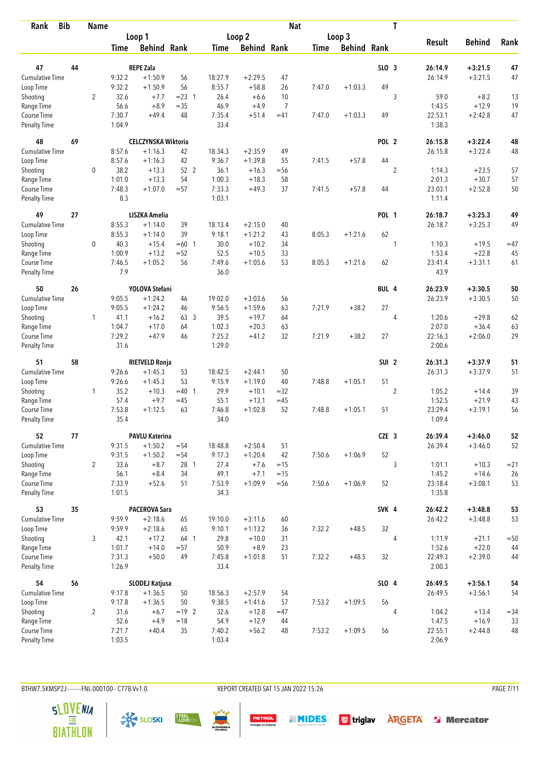| <b>Bib</b><br>Rank           |    | <b>Name</b>    |                  |                            |                |                |                     | <b>Nat</b>     |             |                    |                  | T              |                   |                      |          |
|------------------------------|----|----------------|------------------|----------------------------|----------------|----------------|---------------------|----------------|-------------|--------------------|------------------|----------------|-------------------|----------------------|----------|
|                              |    |                |                  | Loop 1                     |                |                | Loop 2              |                |             | Loop 3             |                  |                |                   |                      |          |
|                              |    |                | <b>Time</b>      | <b>Behind Rank</b>         |                | <b>Time</b>    | <b>Behind Rank</b>  |                | <b>Time</b> | <b>Behind Rank</b> |                  |                | <b>Result</b>     | <b>Behind</b>        | Rank     |
| 47                           | 44 |                |                  | <b>REPE Zala</b>           |                |                |                     |                |             |                    | SLO <sub>3</sub> |                | 26:14.9           | $+3:21.5$            | 47       |
| <b>Cumulative Time</b>       |    |                | 9:32.2           | $+1:50.9$                  | 56             | 18:27.9        | $+2:29.5$           | 47             |             |                    |                  |                | 26:14.9           | $+3:21.5$            | 47       |
| Loop Time                    |    |                | 9:32.2           | $+1:50.9$                  | 56             | 8:55.7         | $+58.8$             | 26             | 7:47.0      | $+1:03.3$          | 49               |                |                   |                      |          |
| Shooting                     |    | $\overline{2}$ | 32.6             | $+7.7$                     | $= 23 \quad 1$ | 26.4           | $+6.6$              | 10             |             |                    |                  | 3              | 59.0              | $+8.2$               | 13       |
| Range Time                   |    |                | 56.6             | $+8.9$                     | $=35$          | 46.9           | $+4.9$              | $\overline{7}$ |             |                    |                  |                | 1:43.5            | $+12.9$              | 19       |
| Course Time                  |    |                | 7:30.7           | $+49.4$                    | 48             | 7:35.4         | $+51.4$             | $=41$          | 7:47.0      | $+1:03.3$          | 49               |                | 22:53.1           | $+2:42.8$            | 47       |
| <b>Penalty Time</b>          |    |                | 1:04.9           |                            |                | 33.4           |                     |                |             |                    |                  |                | 1:38.3            |                      |          |
| 48                           | 69 |                |                  | <b>CELCZYNSKA Wiktoria</b> |                |                |                     |                |             |                    | POL <sub>2</sub> |                | 26:15.8           | $+3:22.4$            | 48       |
| Cumulative Time              |    |                | 8:57.6           | $+1:16.3$                  | 42             | 18:34.3        | $+2:35.9$           | 49             |             |                    |                  |                | 26:15.8           | $+3:22.4$            | 48       |
| Loop Time                    |    |                | 8:57.6           | $+1:16.3$                  | 42             | 9:36.7         | $+1:39.8$           | 55             | 7:41.5      | $+57.8$            | 44               |                |                   |                      |          |
| Shooting                     |    | 0              | 38.2             | $+13.3$                    | 52 2           | 36.1           | $+16.3$             | $=$ 56         |             |                    |                  | $\overline{2}$ | 1:14.3            | $+23.5$              | 57       |
| Range Time                   |    |                | 1:01.0           | $+13.3$                    | 54             | 1:00.3         | $+18.3$             | 58             |             |                    |                  |                | 2:01.3            | $+30.7$              | 57       |
| Course Time                  |    |                | 7:48.3           | $+1:07.0$                  | $= 57$         | 7:33.3         | $+49.3$             | 37             | 7:41.5      | $+57.8$            | 44               |                | 23:03.1           | $+2:52.8$            | 50       |
| <b>Penalty Time</b>          |    |                | 8.3              |                            |                | 1:03.1         |                     |                |             |                    |                  |                | 1:11.4            |                      |          |
| 49                           | 27 |                |                  | <b>LISZKA Amelia</b>       |                |                |                     |                |             |                    | <b>POL 1</b>     |                | 26:18.7           | $+3:25.3$            | 49       |
| <b>Cumulative Time</b>       |    |                | 8:55.3           | $+1:14.0$                  | 39             | 18:13.4        | $+2:15.0$           | 40             |             |                    |                  |                | 26:18.7           | $+3:25.3$            | 49       |
| Loop Time                    |    |                | 8:55.3           | $+1:14.0$                  | 39             | 9:18.1         | $+1:21.2$           | 43             | 8:05.3      | $+1:21.6$          | 62               |                |                   |                      |          |
| Shooting                     |    | 0              | 40.3             | $+15.4$                    | $=60$ 1        | 30.0           | $+10.2$             | 34             |             |                    |                  | 1              | 1:10.3            | $+19.5$              | $=47$    |
| Range Time                   |    |                | 1:00.9           | $+13.2$                    | $= 52$         | 52.5           | $+10.5$             | 33             |             |                    |                  |                | 1:53.4            | $+22.8$              | 45       |
| Course Time                  |    |                | 7:46.5           | $+1:05.2$                  | 56             | 7:49.6         | $+1:05.6$           | 53             | 8:05.3      | $+1:21.6$          | 62               |                | 23:41.4           | $+3:31.1$            | 61       |
| <b>Penalty Time</b>          |    |                | 7.9              |                            |                | 36.0           |                     |                |             |                    |                  |                | 43.9              |                      |          |
| 50                           | 26 |                |                  | YOLOVA Stefani             |                |                |                     |                |             |                    | BUL 4            |                | 26:23.9           | $+3:30.5$            | 50       |
| Cumulative Time              |    |                | 9:05.5           | $+1:24.2$                  | 46             | 19:02.0        | $+3:03.6$           | 56             |             |                    |                  |                | 26:23.9           | $+3:30.5$            | 50       |
| Loop Time                    |    |                | 9:05.5           | $+1:24.2$                  | 46             | 9:56.5         | $+1:59.6$           | 63             | 7:21.9      | $+38.2$            | 27               |                |                   |                      |          |
| Shooting                     |    | 1              | 41.1             | $+16.2$                    | 63 3           | 39.5           | $+19.7$             | 64             |             |                    |                  | $\overline{4}$ | 1:20.6            | $+29.8$              | 62       |
| Range Time                   |    |                | 1:04.7           | $+17.0$                    | 64             | 1:02.3         | $+20.3$             | 63             |             |                    |                  |                | 2:07.0            | $+36.4$              | 63       |
| Course Time                  |    |                | 7:29.2           | $+47.9$                    | 46             | 7:25.2         | $+41.2$             | 32             | 7:21.9      | $+38.2$            | 27               |                | 22:16.3           | $+2:06.0$            | 29       |
| <b>Penalty Time</b>          |    |                | 31.6             |                            |                | 1:29.0         |                     |                |             |                    |                  |                | 2:00.6            |                      |          |
| 51                           | 58 |                |                  | <b>RIETVELD Ronja</b>      |                |                |                     |                |             |                    | SUI <sub>2</sub> |                | 26:31.3           | $+3:37.9$            | 51       |
| Cumulative Time              |    |                | 9:26.6           | $+1:45.3$                  | 53             | 18:42.5        | $+2:44.1$           | 50             |             |                    |                  |                | 26:31.3           | $+3:37.9$            | 51       |
| Loop Time                    |    |                | 9:26.6           | $+1:45.3$                  | 53             | 9:15.9         | $+1:19.0$           | 40             | 7:48.8      | $+1:05.1$          | 51               |                |                   |                      |          |
| Shooting                     |    | $\mathbf{1}$   | 35.2             | $+10.3$                    | $=40$ 1        | 29.9           | $+10.1$             | $=32$          |             |                    |                  | $\overline{2}$ | 1:05.2            | $+14.4$              | 39       |
| Range Time                   |    |                | 57.4             | $+9.7$                     | $=45$          | 55.1           | $+13.1$             | $=45$          |             |                    |                  |                | 1:52.5            | $+21.9$              | 43       |
| Course Time                  |    |                | 7:53.8           | $+1:12.5$                  | 63             | 7:46.8         | $+1:02.8$           | 52             | 7:48.8      | $+1:05.1$          | 51               |                | 23:29.4           | $+3:19.1$            | 56       |
| <b>Penalty Time</b>          |    |                | 35.4             |                            |                | 34.0           |                     |                |             |                    |                  |                | 1:09.4            |                      |          |
| 52                           | 77 |                |                  | <b>PAVLU Katerina</b>      |                |                |                     |                |             |                    | CZE 3            |                | 26:39.4           | $+3:46.0$            | 52       |
| <b>Cumulative Time</b>       |    |                | 9:31.5           | $+1:50.2$                  | $= 54$         | 18:48.8        | $+2:50.4$           | 51             |             |                    |                  |                | 26:39.4           | $+3:46.0$            | 52       |
| Loop Time                    |    |                | 9:31.5           | $+1:50.2$                  | $= 54$         | 9:17.3         | $+1:20.4$           | 42             | 7:50.6      | $+1:06.9$          | 52               |                |                   |                      |          |
| Shooting                     |    | $\overline{2}$ | 33.6             | $+8.7$                     | 28 1           | 27.4           | $+7.6$              | $=15$          |             |                    |                  | 3              | 1:01.1            | $+10.3$              | $= 21$   |
| Range Time                   |    |                | 56.1             | $+8.4$                     | 34             | 49.1           | $+7.1$              | $=15$          |             |                    |                  |                | 1:45.2            | $+14.6$              | 26       |
| Course Time<br>Penalty Time  |    |                | 7:33.9<br>1:01.5 | $+52.6$                    | 51             | 7:53.9<br>34.3 | $+1:09.9$           | $=$ 56         | 7:50.6      | $+1:06.9$          | 52               |                | 23:18.4<br>1:35.8 | $+3:08.1$            | 53       |
|                              |    |                |                  |                            |                |                |                     |                |             |                    |                  |                |                   |                      |          |
| 53<br><b>Cumulative Time</b> | 35 |                |                  | PACEROVA Sara              |                |                |                     |                |             |                    | SVK 4            |                | 26:42.2           | $+3:48.8$            | 53       |
|                              |    |                | 9:59.9           | $+2:18.6$                  | 65             | 19:10.0        | $+3:11.6$           | 60             |             |                    |                  |                | 26:42.2           | $+3:48.8$            | 53       |
| Loop Time                    |    |                | 9:59.9           | $+2:18.6$                  | 65             | 9:10.1         | $+1:13.2$           | 36             | 7:32.2      | $+48.5$            | 32               |                |                   |                      |          |
| Shooting                     |    | 3              | 42.1<br>1:01.7   | $+17.2$<br>$+14.0$         | 64 1           | 29.8           | $+10.0$             | 31             |             |                    |                  | 4              | 1:11.9            | $+21.1$              | $=50$    |
| Range Time<br>Course Time    |    |                | 7:31.3           | $+50.0$                    | $= 57$<br>49   | 50.9<br>7:45.8 | $+8.9$<br>$+1:01.8$ | 23<br>51       | 7:32.2      | $+48.5$            | 32               |                | 1:52.6<br>22:49.3 | $+22.0$<br>$+2:39.0$ | 44<br>44 |
| Penalty Time                 |    |                | 1:26.9           |                            |                | 33.4           |                     |                |             |                    |                  |                | 2:00.3            |                      |          |
| 54                           | 56 |                |                  | SLODEJ Katjusa             |                |                |                     |                |             |                    | SLO 4            |                | 26:49.5           | $+3:56.1$            | 54       |
| Cumulative Time              |    |                | 9:17.8           | $+1:36.5$                  | 50             | 18:56.3        | $+2:57.9$           | 54             |             |                    |                  |                | 26:49.5           | $+3:56.1$            | 54       |
| Loop Time                    |    |                | 9:17.8           | $+1:36.5$                  | 50             | 9:38.5         | $+1:41.6$           | 57             | 7:53.2      | $+1:09.5$          | 56               |                |                   |                      |          |
| Shooting                     |    | $\overline{2}$ | 31.6             | $+6.7$                     | $= 19$ 2       | 32.6           | $+12.8$             | $=47$          |             |                    |                  | 4              | 1:04.2            | $+13.4$              | $= 34$   |
| Range Time                   |    |                | 52.6             | $+4.9$                     | $=18$          | 54.9           | $+12.9$             | 44             |             |                    |                  |                | 1:47.5            | $+16.9$              | 33       |
| Course Time                  |    |                | 7:21.7           | $+40.4$                    | 35             | 7:40.2         | $+56.2$             | 48             | 7:53.2      | $+1:09.5$          | 56               |                | 22:55.1           | $+2:44.8$            | 48       |
| Penalty Time                 |    |                | 1:03.5           |                            |                | 1:03.4         |                     |                |             |                    |                  |                | 2:06.9            |                      |          |

BTHW7.5KMSP2J--------FNL-000100-- C77B Vv1.0. REPORT CREATED SAT 15 JAN 2022 15:26 PAGE 7/11

**PETROL**<br>Energija za življenje





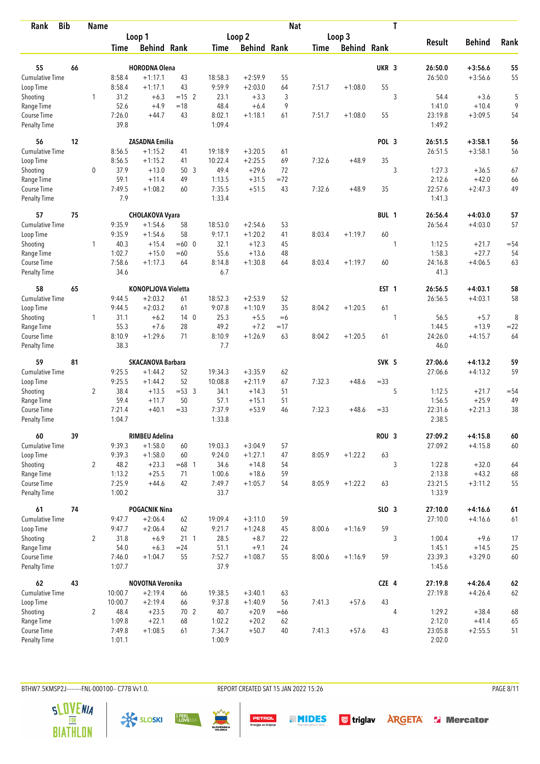| Rank                               | <b>Bib</b> | <b>Name</b>    |                  |                               |                 |                |                    | <b>Nat</b> |        |                    |                  | T              |                    |                        |              |
|------------------------------------|------------|----------------|------------------|-------------------------------|-----------------|----------------|--------------------|------------|--------|--------------------|------------------|----------------|--------------------|------------------------|--------------|
|                                    |            |                |                  | Loop 1                        |                 |                | Loop <sub>2</sub>  |            |        | Loop 3             |                  |                |                    |                        |              |
|                                    |            |                | Time             | <b>Behind Rank</b>            |                 | Time           | <b>Behind Rank</b> |            | Time   | <b>Behind Rank</b> |                  |                | <b>Result</b>      | <b>Behind</b>          | Rank         |
| 55                                 | 66         |                |                  | <b>HORODNA Olena</b>          |                 |                |                    |            |        |                    | UKR <sub>3</sub> |                | 26:50.0            | $+3:56.6$              | 55           |
| <b>Cumulative Time</b>             |            |                | 8:58.4           | $+1:17.1$                     | 43              | 18:58.3        | $+2:59.9$          | 55         |        |                    |                  |                | 26:50.0            | $+3:56.6$              | 55           |
| Loop Time                          |            |                | 8:58.4           | $+1:17.1$                     | 43              | 9:59.9         | $+2:03.0$          | 64         | 7:51.7 | $+1:08.0$          | 55               |                |                    |                        |              |
| Shooting                           |            | 1              | 31.2             | $+6.3$                        | $= 15$ 2        | 23.1           | $+3.3$             | 3          |        |                    |                  | 3              | 54.4               | $+3.6$                 | 5            |
| Range Time                         |            |                | 52.6             | $+4.9$                        | $=18$           | 48.4           | $+6.4$             | 9          |        |                    |                  |                | 1:41.0             | $+10.4$                | 9            |
| Course Time                        |            |                | 7:26.0           | $+44.7$                       | 43              | 8:02.1         | $+1:18.1$          | 61         | 7:51.7 | $+1:08.0$          | 55               |                | 23:19.8            | $+3:09.5$              | 54           |
| <b>Penalty Time</b>                |            |                | 39.8             |                               |                 | 1:09.4         |                    |            |        |                    |                  |                | 1:49.2             |                        |              |
| 56                                 | 12         |                |                  | <b>ZASADNA Emilia</b>         |                 |                |                    |            |        |                    | POL 3            |                | 26:51.5            | $+3:58.1$              | 56           |
| <b>Cumulative Time</b>             |            |                | 8:56.5           | $+1:15.2$                     | 41              | 19:18.9        | $+3:20.5$          | 61         |        |                    |                  |                | 26:51.5            | $+3:58.1$              | 56           |
| Loop Time                          |            |                | 8:56.5           | $+1:15.2$                     | 41              | 10:22.4        | $+2:25.5$          | 69         | 7:32.6 | $+48.9$            | 35               |                |                    |                        |              |
| Shooting                           |            | 0              | 37.9             | $+13.0$                       | 50 <sub>3</sub> | 49.4           | $+29.6$            | 72         |        |                    |                  | 3              | 1:27.3             | $+36.5$                | 67           |
| Range Time                         |            |                | 59.1             | $+11.4$                       | 49              | 1:13.5         | $+31.5$            | $= 72$     |        |                    |                  |                | 2:12.6             | $+42.0$                | 66           |
| Course Time                        |            |                | 7:49.5           | $+1:08.2$                     | 60              | 7:35.5         | $+51.5$            | 43         | 7:32.6 | $+48.9$            | 35               |                | 22:57.6            | $+2:47.3$              | 49           |
| Penalty Time                       |            |                | 7.9              |                               |                 | 1:33.4         |                    |            |        |                    |                  |                | 1:41.3             |                        |              |
| 57                                 | 75         |                |                  | <b>CHOLAKOVA Vyara</b>        |                 |                |                    |            |        |                    | BUL 1            |                | 26:56.4            | $+4:03.0$              | 57           |
| <b>Cumulative Time</b>             |            |                | 9:35.9           | $+1:54.6$                     | 58              | 18:53.0        | $+2:54.6$          | 53         |        |                    |                  |                | 26:56.4            | $+4:03.0$              | 57           |
| Loop Time                          |            |                | 9:35.9           | $+1:54.6$                     | 58              | 9:17.1         | $+1:20.2$          | 41         | 8:03.4 | $+1:19.7$          | 60               |                |                    |                        |              |
| Shooting                           |            | 1              | 40.3             | $+15.4$                       | $=60$ 0         | 32.1           | $+12.3$            | 45         |        |                    |                  | 1              | 1:12.5             | $+21.7$                | $= 54$       |
| Range Time                         |            |                | 1:02.7           | $+15.0$                       | $=60$           | 55.6           | $+13.6$            | 48         |        |                    |                  |                | 1:58.3             | $+27.7$                | 54           |
| Course Time<br><b>Penalty Time</b> |            |                | 7:58.6<br>34.6   | $+1:17.3$                     | 64              | 8:14.8<br>6.7  | $+1:30.8$          | 64         | 8:03.4 | $+1:19.7$          | 60               |                | 24:16.8<br>41.3    | $+4:06.5$              | 63           |
|                                    |            |                |                  |                               |                 |                |                    |            |        |                    |                  |                |                    |                        |              |
| 58                                 | 65         |                |                  | <b>KONOPLJOVA Violetta</b>    |                 |                |                    |            |        |                    | EST <sub>1</sub> |                | 26:56.5            | $+4:03.1$              | 58           |
| <b>Cumulative Time</b>             |            |                | 9:44.5           | $+2:03.2$                     | 61              | 18:52.3        | $+2:53.9$          | 52         |        |                    |                  |                | 26:56.5            | $+4:03.1$              | 58           |
| Loop Time                          |            |                | 9:44.5           | $+2:03.2$                     | 61              | 9:07.8         | $+1:10.9$          | 35         | 8:04.2 | $+1:20.5$          | 61               |                |                    |                        |              |
| Shooting                           |            | $\mathbf{1}$   | 31.1             | $+6.2$                        | 140             | 25.3           | $+5.5$             | $=6$       |        |                    |                  | 1              | 56.5               | $+5.7$                 | 8            |
| Range Time                         |            |                | 55.3             | $+7.6$                        | 28              | 49.2           | $+7.2$             | $=17$      |        |                    |                  |                | 1:44.5             | $+13.9$                | $= 22$       |
| Course Time<br><b>Penalty Time</b> |            |                | 8:10.9<br>38.3   | $+1:29.6$                     | 71              | 8:10.9<br>7.7  | $+1:26.9$          | 63         | 8:04.2 | $+1:20.5$          | 61               |                | 24:26.0<br>46.0    | $+4:15.7$              | 64           |
| 59                                 | 81         |                |                  | <b>SKACANOVA Barbara</b>      |                 |                |                    |            |        |                    | SVK 5            |                | 27:06.6            | $+4:13.2$              | 59           |
| <b>Cumulative Time</b>             |            |                | 9:25.5           | $+1:44.2$                     | 52              | 19:34.3        | $+3:35.9$          | 62         |        |                    |                  |                | 27:06.6            | $+4:13.2$              | 59           |
| Loop Time                          |            |                | 9:25.5           | $+1:44.2$                     | 52              | 10:08.8        | $+2:11.9$          | 67         | 7:32.3 | $+48.6$            | $= 33$           |                |                    |                        |              |
| Shooting                           |            | $\overline{2}$ | 38.4             | $+13.5$                       | $= 53 \quad 3$  | 34.1           | $+14.3$            | 51         |        |                    |                  | 5              | 1:12.5             | $+21.7$                | $= 54$       |
| Range Time                         |            |                | 59.4             | $+11.7$                       | 50              | 57.1           | $+15.1$            | 51         |        |                    |                  |                | 1:56.5             | $+25.9$                | 49           |
| Course Time                        |            |                | 7:21.4           | $+40.1$                       | $= 33$          | 7:37.9         | $+53.9$            | 46         | 7:32.3 | $+48.6$            | $= 33$           |                | 22:31.6            | $+2:21.3$              | 38           |
| <b>Penalty Time</b>                |            |                | 1:04.7           |                               |                 | 1:33.8         |                    |            |        |                    |                  |                | 2:38.5             |                        |              |
| 60                                 | 39         |                |                  | <b>RIMBEU Adelina</b>         |                 |                |                    |            |        |                    | ROU <sub>3</sub> |                | 27:09.2            | $+4:15.8$              | 60           |
| Cumulative Time                    |            |                | 9:39.3           | $+1:58.0$                     | 60              | 19:03.3        | $+3:04.9$          | 57         |        |                    |                  |                | 27:09.2            | $+4:15.8$              | 60           |
| Loop Time                          |            |                | 9:39.3           | $+1:58.0$                     | 60              | 9:24.0         | $+1:27.1$          | 47         | 8:05.9 | $+1:22.2$          | 63               |                |                    |                        |              |
| Shooting                           |            | $\overline{2}$ | 48.2             | $+23.3$                       | $=68$ 1         | 34.6           | $+14.8$            | 54         |        |                    |                  | 3              | 1:22.8             | $+32.0$                | 64           |
| Range Time                         |            |                | 1:13.2           | $+25.5$                       | 71              | 1:00.6         | $+18.6$            | 59         |        |                    |                  |                | 2:13.8             | $+43.2$                | 68           |
| Course Time                        |            |                | 7:25.9           | $+44.6$                       | 42              | 7:49.7         | $+1:05.7$          | 54         | 8:05.9 | $+1:22.2$          | 63               |                | 23:21.5            | $+3:11.2$              | 55           |
| Penalty Time                       |            |                | 1:00.2           |                               |                 | 33.7           |                    |            |        |                    |                  |                | 1:33.9             |                        |              |
| 61                                 | 74         |                |                  | <b>POGACNIK Nina</b>          |                 |                |                    |            |        |                    | SLO 3            |                | 27:10.0            | $+4:16.6$              | $61\,$       |
| <b>Cumulative Time</b>             |            |                | 9:47.7           | $+2:06.4$                     | 62              | 19:09.4        | $+3:11.0$          | 59         |        |                    |                  |                | 27:10.0            | $+4:16.6$              | 61           |
| Loop Time                          |            |                | 9:47.7           | $+2:06.4$                     | 62              | 9:21.7         | $+1:24.8$          | 45         | 8:00.6 | $+1:16.9$          | 59               |                |                    |                        |              |
| Shooting                           |            | $\overline{2}$ | 31.8             | $+6.9$                        | $21 \quad 1$    | 28.5           | $+8.7$             | 22         |        |                    |                  | 3              | 1:00.4             | $+9.6$                 | 17           |
| Range Time                         |            |                | 54.0             | $+6.3$                        | $= 24$          | 51.1           | $+9.1$             | 24         |        |                    |                  |                | 1:45.1             | $+14.5$                | 25           |
| Course Time<br><b>Penalty Time</b> |            |                | 7:46.0<br>1:07.7 | $+1:04.7$                     | 55              | 7:52.7<br>37.9 | $+1:08.7$          | 55         | 8:00.6 | $+1:16.9$          | 59               |                | 23:39.3<br>1:45.6  | $+3:29.0$              | 60           |
|                                    |            |                |                  |                               |                 |                |                    |            |        |                    |                  |                |                    |                        |              |
| 62<br>Cumulative Time              | 43         |                | 10:00.7          | NOVOTNA Veronika<br>$+2:19.4$ | 66              | 19:38.5        | $+3:40.1$          | 63         |        |                    | CZE 4            |                | 27:19.8<br>27:19.8 | $+4:26.4$<br>$+4:26.4$ | $62\,$<br>62 |
| Loop Time                          |            |                | 10:00.7          | $+2:19.4$                     | 66              | 9:37.8         | $+1:40.9$          | 56         | 7:41.3 | $+57.6$            | 43               |                |                    |                        |              |
| Shooting                           |            | $\overline{2}$ | 48.4             | $+23.5$                       | 70 2            | 40.7           | $+20.9$            | $=66$      |        |                    |                  | $\overline{4}$ | 1:29.2             | $+38.4$                | 68           |
| Range Time                         |            |                | 1:09.8           | $+22.1$                       | 68              | 1:02.2         | $+20.2$            | 62         |        |                    |                  |                | 2:12.0             | $+41.4$                | 65           |
| Course Time                        |            |                | 7:49.8           | $+1:08.5$                     | 61              | 7:34.7         | $+50.7$            | 40         | 7:41.3 | $+57.6$            | 43               |                | 23:05.8            | $+2:55.5$              | 51           |
| <b>Penalty Time</b>                |            |                | 1:01.1           |                               |                 | 1:00.9         |                    |            |        |                    |                  |                | 2:02.0             |                        |              |

BTHW7.5KMSP2J--------FNL-000100-- C77B Vv1.0. REPORT CREATED SAT 15 JAN 2022 15:26 PAGE 8/11







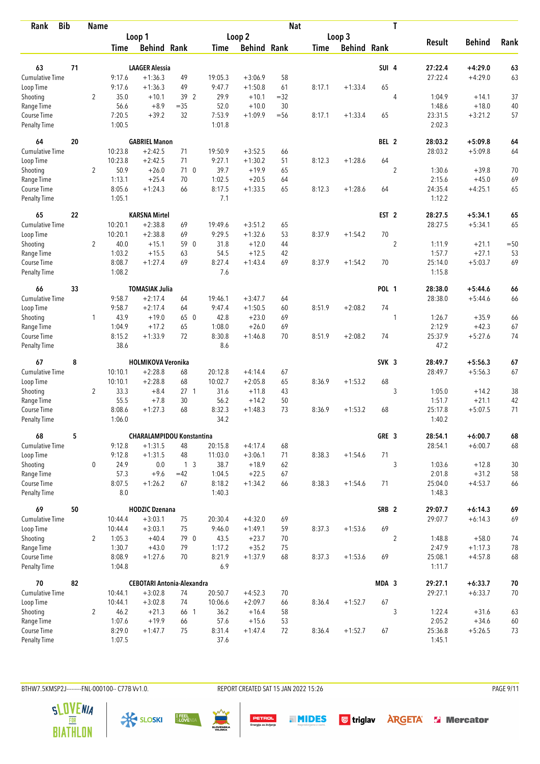| <b>Bib</b><br>Rank          |    | <b>Name</b>    |               |                                   |                 |                  |                    | <b>Nat</b> |             |                    |                  | T              |                   |               |       |
|-----------------------------|----|----------------|---------------|-----------------------------------|-----------------|------------------|--------------------|------------|-------------|--------------------|------------------|----------------|-------------------|---------------|-------|
|                             |    |                |               | Loop 1                            |                 |                  | Loop 2             |            |             | Loop 3             |                  |                |                   |               |       |
|                             |    |                | Time          | <b>Behind Rank</b>                |                 | <b>Time</b>      | <b>Behind Rank</b> |            | <b>Time</b> | <b>Behind Rank</b> |                  |                | <b>Result</b>     | <b>Behind</b> | Rank  |
| 63                          | 71 |                |               | <b>LAAGER Alessia</b>             |                 |                  |                    |            |             |                    | SUI 4            |                | 27:22.4           | $+4:29.0$     | 63    |
| <b>Cumulative Time</b>      |    |                | 9:17.6        | $+1:36.3$                         | 49              | 19:05.3          | $+3:06.9$          | 58         |             |                    |                  |                | 27:22.4           | $+4:29.0$     | 63    |
| Loop Time                   |    |                | 9:17.6        | $+1:36.3$                         | 49              | 9:47.7           | $+1:50.8$          | 61         | 8:17.1      | $+1:33.4$          | 65               |                |                   |               |       |
| Shooting                    |    | $\overline{2}$ | 35.0          | $+10.1$                           | 39 2            | 29.9             | $+10.1$            | $=32$      |             |                    |                  | $\overline{4}$ | 1:04.9            | $+14.1$       | 37    |
| Range Time                  |    |                | 56.6          | $+8.9$                            | $=35$           | 52.0             | $+10.0$            | 30         |             |                    |                  |                | 1:48.6            | $+18.0$       | 40    |
| Course Time                 |    |                | 7:20.5        | $+39.2$                           | 32              | 7:53.9           | $+1:09.9$          | $= 56$     | 8:17.1      | $+1:33.4$          | 65               |                | 23:31.5           | $+3:21.2$     | 57    |
| <b>Penalty Time</b>         |    |                | 1:00.5        |                                   |                 | 1:01.8           |                    |            |             |                    |                  |                | 2:02.3            |               |       |
| 64                          | 20 |                |               | <b>GABRIEL Manon</b>              |                 |                  |                    |            |             |                    | BEL 2            |                | 28:03.2           | $+5:09.8$     | 64    |
| Cumulative Time             |    |                | 10:23.8       | $+2:42.5$                         | 71              | 19:50.9          | $+3:52.5$          | 66         |             |                    |                  |                | 28:03.2           | $+5:09.8$     | 64    |
| Loop Time                   |    |                | 10:23.8       | $+2:42.5$                         | 71              | 9:27.1           | $+1:30.2$          | 51         | 8:12.3      | $+1:28.6$          | 64               |                |                   |               |       |
| Shooting                    |    | $\overline{2}$ | 50.9          | $+26.0$                           | 710             | 39.7             | $+19.9$            | 65         |             |                    |                  | $\overline{2}$ | 1:30.6            | $+39.8$       | 70    |
| Range Time                  |    |                | 1:13.1        | $+25.4$                           | 70              | 1:02.5           | $+20.5$            | 64         |             |                    |                  |                | 2:15.6            | $+45.0$       | 69    |
| Course Time                 |    |                | 8:05.6        | $+1:24.3$                         | 66              | 8:17.5           | $+1:33.5$          | 65         | 8:12.3      | $+1:28.6$          | 64               |                | 24:35.4           | $+4:25.1$     | 65    |
| <b>Penalty Time</b>         |    |                | 1:05.1        |                                   |                 | 7.1              |                    |            |             |                    |                  |                | 1:12.2            |               |       |
| 65                          | 22 |                |               | <b>KARSNA Mirtel</b>              |                 |                  |                    |            |             |                    | EST <sub>2</sub> |                | 28:27.5           | $+5:34.1$     | 65    |
| <b>Cumulative Time</b>      |    |                | 10:20.1       | $+2:38.8$                         | 69              | 19:49.6          | $+3:51.2$          | 65         |             |                    |                  |                | 28:27.5           | $+5:34.1$     | 65    |
| Loop Time                   |    |                | 10:20.1       | $+2:38.8$                         | 69              | 9:29.5           | $+1:32.6$          | 53         | 8:37.9      | $+1:54.2$          | 70               |                |                   |               |       |
| Shooting                    |    | $\overline{2}$ | 40.0          | $+15.1$                           | 59 0            | 31.8             | $+12.0$            | 44         |             |                    |                  | $\overline{2}$ | 1:11.9            | $+21.1$       | $=50$ |
| Range Time                  |    |                | 1:03.2        | $+15.5$                           | 63              | 54.5             | $+12.5$            | 42         |             |                    |                  |                | 1:57.7            | $+27.1$       | 53    |
| Course Time                 |    |                | 8:08.7        | $+1:27.4$                         | 69              | 8:27.4           | $+1:43.4$          | 69         | 8:37.9      | $+1:54.2$          | 70               |                | 25:14.0           | $+5:03.7$     | 69    |
| <b>Penalty Time</b>         |    |                | 1:08.2        |                                   |                 | 7.6              |                    |            |             |                    |                  |                | 1:15.8            |               |       |
| 66                          | 33 |                |               | <b>TOMASIAK Julia</b>             |                 |                  |                    |            |             |                    | <b>POL 1</b>     |                | 28:38.0           | $+5:44.6$     | 66    |
| Cumulative Time             |    |                | 9:58.7        | $+2:17.4$                         | 64              | 19:46.1          | $+3:47.7$          | 64         |             |                    |                  |                | 28:38.0           | $+5:44.6$     | 66    |
| Loop Time                   |    |                | 9:58.7        | $+2:17.4$                         | 64              | 9:47.4           | $+1:50.5$          | 60         | 8:51.9      | $+2:08.2$          | 74               |                |                   |               |       |
| Shooting                    |    | 1              | 43.9          | $+19.0$                           | 65 0            | 42.8             | $+23.0$            | 69         |             |                    |                  | 1              | 1:26.7            | $+35.9$       | 66    |
| Range Time                  |    |                | 1:04.9        | $+17.2$                           | 65              | 1:08.0           | $+26.0$            | 69         |             |                    |                  |                | 2:12.9            | $+42.3$       | 67    |
| Course Time                 |    |                | 8:15.2        | $+1:33.9$                         | 72              | 8:30.8           | $+1:46.8$          | 70         | 8:51.9      | $+2:08.2$          | 74               |                | 25:37.9           | $+5:27.6$     | 74    |
| <b>Penalty Time</b>         |    |                | 38.6          |                                   |                 | 8.6              |                    |            |             |                    |                  |                | 47.2              |               |       |
| 67                          | 8  |                |               | <b>HOLMIKOVA Veronika</b>         |                 |                  |                    |            |             |                    | SVK <sub>3</sub> |                | 28:49.7           | $+5:56.3$     | 67    |
| Cumulative Time             |    |                | 10:10.1       | $+2:28.8$                         | 68              | 20:12.8          | $+4:14.4$          | 67         |             |                    |                  |                | 28:49.7           | $+5:56.3$     | 67    |
| Loop Time                   |    |                | 10:10.1       | $+2:28.8$                         | 68              | 10:02.7          | $+2:05.8$          | 65         | 8:36.9      | $+1:53.2$          | 68               |                |                   |               |       |
| Shooting                    |    | $\overline{2}$ | 33.3          | $+8.4$                            | 27 <sub>1</sub> | 31.6             | $+11.8$            | 43         |             |                    |                  | 3              | 1:05.0            | $+14.2$       | 38    |
| Range Time                  |    |                | 55.5          | $+7.8$                            | 30              | 56.2             | $+14.2$            | 50         |             |                    |                  |                | 1:51.7            | $+21.1$       | 42    |
| Course Time                 |    |                | 8:08.6        | $+1:27.3$                         | 68              | 8:32.3           | $+1:48.3$          | 73         | 8:36.9      | $+1:53.2$          | 68               |                | 25:17.8           | $+5:07.5$     | 71    |
| <b>Penalty Time</b>         |    |                | 1:06.0        |                                   |                 | 34.2             |                    |            |             |                    |                  |                | 1:40.2            |               |       |
| 68                          | 5  |                |               | <b>CHARALAMPIDOU Konstantina</b>  |                 |                  |                    |            |             |                    | GRE 3            |                | 28:54.1           | $+6:00.7$     | 68    |
| <b>Cumulative Time</b>      |    |                | 9:12.8        | $+1:31.5$                         | 48              | 20:15.8          | $+4:17.4$          | 68         |             |                    |                  |                | 28:54.1           | $+6:00.7$     | 68    |
| Loop Time                   |    |                | 9:12.8        | $+1:31.5$                         | 48              | 11:03.0          | $+3:06.1$          | 71         | 8:38.3      | $+1:54.6$          | 71               |                |                   |               |       |
| Shooting                    |    | 0              | 24.9          | 0.0                               | 1 <sub>3</sub>  | 38.7             | $+18.9$            | 62         |             |                    |                  | 3              | 1:03.6            | $+12.8$       | 30    |
| Range Time                  |    |                | 57.3          | $+9.6$                            | $=42$           | 1:04.5           | $+22.5$            | 67         |             |                    |                  |                | 2:01.8            | $+31.2$       | 58    |
| Course Time<br>Penalty Time |    |                | 8:07.5<br>8.0 | $+1:26.2$                         | 67              | 8:18.2<br>1:40.3 | $+1:34.2$          | 66         | 8:38.3      | $+1:54.6$          | 71               |                | 25:04.0<br>1:48.3 | $+4:53.7$     | 66    |
| 69                          | 50 |                |               | <b>HODZIC Dzenana</b>             |                 |                  |                    |            |             |                    | SRB <sub>2</sub> |                | 29:07.7           | $+6:14.3$     | 69    |
| <b>Cumulative Time</b>      |    |                | 10:44.4       | $+3:03.1$                         | 75              | 20:30.4          | $+4:32.0$          | 69         |             |                    |                  |                | 29:07.7           | $+6:14.3$     | 69    |
| Loop Time                   |    |                | 10:44.4       | $+3:03.1$                         | 75              | 9:46.0           | $+1:49.1$          | 59         | 8:37.3      | $+1:53.6$          | 69               |                |                   |               |       |
| Shooting                    |    | $\overline{2}$ | 1:05.3        | $+40.4$                           | 79 0            | 43.5             | $+23.7$            | 70         |             |                    |                  | $\overline{2}$ | 1:48.8            | $+58.0$       | 74    |
| Range Time                  |    |                | 1:30.7        | $+43.0$                           | 79              | 1:17.2           | $+35.2$            | 75         |             |                    |                  |                | 2:47.9            | $+1:17.3$     | 78    |
| Course Time                 |    |                | 8:08.9        | $+1:27.6$                         | 70              | 8:21.9           | $+1:37.9$          | 68         | 8:37.3      | $+1:53.6$          | 69               |                | 25:08.1           | $+4:57.8$     | 68    |
| Penalty Time                |    |                | 1:04.8        |                                   |                 | 6.9              |                    |            |             |                    |                  |                | 1:11.7            |               |       |
| 70                          | 82 |                |               | <b>CEBOTARI Antonia-Alexandra</b> |                 |                  |                    |            |             |                    | MDA 3            |                | 29:27.1           | $+6:33.7$     | 70    |
| <b>Cumulative Time</b>      |    |                | 10:44.1       | $+3:02.8$                         | 74              | 20:50.7          | $+4:52.3$          | 70         |             |                    |                  |                | 29:27.1           | $+6:33.7$     | 70    |
| Loop Time                   |    |                | 10:44.1       | $+3:02.8$                         | 74              | 10:06.6          | $+2:09.7$          | 66         | 8:36.4      | $+1:52.7$          | 67               |                |                   |               |       |
| Shooting                    |    | $\overline{2}$ | 46.2          | $+21.3$                           | 66 1            | 36.2             | $+16.4$            | 58         |             |                    |                  | 3              | 1:22.4            | $+31.6$       | 63    |
| Range Time                  |    |                | 1:07.6        | $+19.9$                           | 66              | 57.6             | $+15.6$            | 53         |             |                    |                  |                | 2:05.2            | $+34.6$       | 60    |
| Course Time                 |    |                | 8:29.0        | $+1:47.7$                         | 75              | 8:31.4           | $+1:47.4$          | 72         | 8:36.4      | $+1:52.7$          | 67               |                | 25:36.8           | $+5:26.5$     | 73    |
| Penalty Time                |    |                | 1:07.5        |                                   |                 | 37.6             |                    |            |             |                    |                  |                | 1:45.1            |               |       |

BTHW7.5KMSP2J--------FNL-000100-- C77B Vv1.0. REPORT CREATED SAT 15 JAN 2022 15:26 PAGE 9/11

**PETROL**<br>Energija za življenje







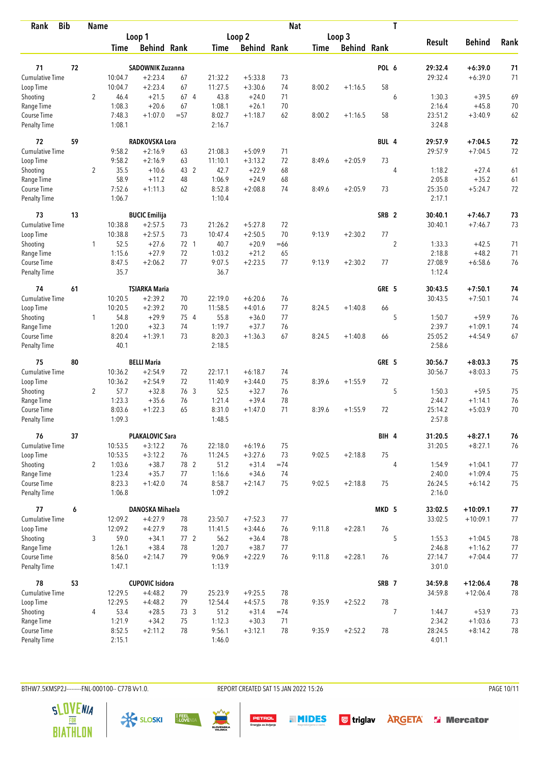| <b>Bib</b><br>Rank          |    | <b>Name</b>    |                  |                         |              |                  |                      | <b>Nat</b> |             |                    |                  | T              |                   |                      |          |
|-----------------------------|----|----------------|------------------|-------------------------|--------------|------------------|----------------------|------------|-------------|--------------------|------------------|----------------|-------------------|----------------------|----------|
|                             |    |                |                  | Loop 1                  |              |                  | Loop <sub>2</sub>    |            |             | Loop 3             |                  |                |                   |                      |          |
|                             |    |                | <b>Time</b>      | <b>Behind Rank</b>      |              | Time             | <b>Behind Rank</b>   |            | <b>Time</b> | <b>Behind Rank</b> |                  |                | <b>Result</b>     | <b>Behind</b>        | Rank     |
|                             |    |                |                  |                         |              |                  |                      |            |             |                    |                  |                |                   |                      |          |
| 71                          | 72 |                |                  | <b>SADOWNIK Zuzanna</b> |              |                  |                      |            |             |                    | POL 6            |                | 29:32.4           | $+6:39.0$            | 71       |
| <b>Cumulative Time</b>      |    |                | 10:04.7          | $+2:23.4$               | 67           | 21:32.2          | $+5:33.8$            | 73         |             |                    |                  |                | 29:32.4           | $+6:39.0$            | 71       |
| Loop Time                   |    |                | 10:04.7          | $+2:23.4$               | 67           | 11:27.5          | $+3:30.6$            | 74         | 8:00.2      | $+1:16.5$          | 58               |                |                   |                      |          |
| Shooting                    |    | $\overline{2}$ | 46.4<br>1:08.3   | $+21.5$<br>$+20.6$      | 67 4         | 43.8<br>1:08.1   | $+24.0$              | 71         |             |                    |                  | 6              | 1:30.3<br>2:16.4  | $+39.5$              | 69       |
| Range Time<br>Course Time   |    |                | 7:48.3           | $+1:07.0$               | 67<br>$= 57$ | 8:02.7           | $+26.1$<br>$+1:18.7$ | 70<br>62   | 8:00.2      | $+1:16.5$          | 58               |                | 23:51.2           | $+45.8$<br>$+3:40.9$ | 70<br>62 |
| <b>Penalty Time</b>         |    |                | 1:08.1           |                         |              | 2:16.7           |                      |            |             |                    |                  |                | 3:24.8            |                      |          |
| 72                          | 59 |                |                  | RADKOVSKA Lora          |              |                  |                      |            |             |                    | BUL 4            |                | 29:57.9           | $+7:04.5$            | 72       |
| <b>Cumulative Time</b>      |    |                | 9:58.2           | $+2:16.9$               | 63           | 21:08.3          | $+5:09.9$            | 71         |             |                    |                  |                | 29:57.9           | $+7:04.5$            | 72       |
| Loop Time                   |    |                | 9:58.2           | $+2:16.9$               | 63           | 11:10.1          | $+3:13.2$            | 72         | 8:49.6      | $+2:05.9$          | 73               |                |                   |                      |          |
| Shooting                    |    | $\overline{2}$ | 35.5             | $+10.6$                 | 43 2         | 42.7             | $+22.9$              | 68         |             |                    |                  | 4              | 1:18.2            | $+27.4$              | 61       |
| Range Time                  |    |                | 58.9             | $+11.2$                 | 48           | 1:06.9           | $+24.9$              | 68         |             |                    |                  |                | 2:05.8            | $+35.2$              | 61       |
| Course Time                 |    |                | 7:52.6           | $+1:11.3$               | 62           | 8:52.8           | $+2:08.8$            | 74         | 8:49.6      | $+2:05.9$          | 73               |                | 25:35.0           | $+5:24.7$            | 72       |
| <b>Penalty Time</b>         |    |                | 1:06.7           |                         |              | 1:10.4           |                      |            |             |                    |                  |                | 2:17.1            |                      |          |
| 73                          | 13 |                |                  | <b>BUCIC Emilija</b>    |              |                  |                      |            |             |                    | SRB <sub>2</sub> |                | 30:40.1           | $+7:46.7$            | 73       |
| <b>Cumulative Time</b>      |    |                | 10:38.8          | $+2:57.5$               | 73           | 21:26.2          | $+5:27.8$            | 72         |             |                    |                  |                | 30:40.1           | $+7:46.7$            | 73       |
| Loop Time                   |    |                | 10:38.8          | $+2:57.5$               | 73           | 10:47.4          | $+2:50.5$            | 70         | 9:13.9      | $+2:30.2$          | 77               |                |                   |                      |          |
| Shooting                    |    | 1              | 52.5             | $+27.6$                 | 72 1         | 40.7             | $+20.9$              | $=66$      |             |                    |                  | $\sqrt{2}$     | 1:33.3            | $+42.5$              | 71       |
| Range Time                  |    |                | 1:15.6           | $+27.9$                 | 72           | 1:03.2           | $+21.2$              | 65         |             |                    |                  |                | 2:18.8            | $+48.2$              | 71       |
| Course Time                 |    |                | 8:47.5           | $+2:06.2$               | 77           | 9:07.5           | $+2:23.5$            | 77         | 9:13.9      | $+2:30.2$          | 77               |                | 27:08.9           | $+6:58.6$            | 76       |
| <b>Penalty Time</b>         |    |                | 35.7             |                         |              | 36.7             |                      |            |             |                    |                  |                | 1:12.4            |                      |          |
| 74                          | 61 |                |                  | TSIARKA Maria           |              |                  |                      |            |             |                    | GRE 5            |                | 30:43.5           | $+7:50.1$            | 74       |
| <b>Cumulative Time</b>      |    |                | 10:20.5          | $+2:39.2$               | 70           | 22:19.0          | $+6:20.6$            | 76         |             |                    |                  |                | 30:43.5           | $+7:50.1$            | 74       |
| Loop Time                   |    |                | 10:20.5          | $+2:39.2$               | 70           | 11:58.5          | $+4:01.6$            | 77         | 8:24.5      | $+1:40.8$          | 66               |                |                   |                      |          |
| Shooting                    |    | $\mathbf{1}$   | 54.8             | $+29.9$                 | 75 4         | 55.8             | $+36.0$              | 77         |             |                    |                  | 5              | 1:50.7            | $+59.9$              | 76       |
| Range Time                  |    |                | 1:20.0           | $+32.3$                 | 74           | 1:19.7           | $+37.7$              | 76         |             |                    |                  |                | 2:39.7            | $+1:09.1$            | 74       |
| Course Time                 |    |                | 8:20.4           | $+1:39.1$               | 73           | 8:20.3           | $+1:36.3$            | 67         | 8:24.5      | $+1:40.8$          | 66               |                | 25:05.2           | $+4:54.9$            | 67       |
| <b>Penalty Time</b>         |    |                | 40.1             |                         |              | 2:18.5           |                      |            |             |                    |                  |                | 2:58.6            |                      |          |
| 75                          | 80 |                |                  | <b>BELLI Maria</b>      |              |                  |                      |            |             |                    | GRE 5            |                | 30:56.7           | $+8:03.3$            | 75       |
| <b>Cumulative Time</b>      |    |                | 10:36.2          | $+2:54.9$               | 72           | 22:17.1          | $+6:18.7$            | 74         |             |                    |                  |                | 30:56.7           | $+8:03.3$            | 75       |
| Loop Time                   |    |                | 10:36.2          | $+2:54.9$               | 72           | 11:40.9          | $+3:44.0$            | 75         | 8:39.6      | $+1:55.9$          | 72               |                |                   |                      |          |
| Shooting                    |    | $\overline{2}$ | 57.7             | $+32.8$                 | 76 3         | 52.5             | $+32.7$              | 76         |             |                    |                  | 5              | 1:50.3            | $+59.5$              | 75       |
| Range Time                  |    |                | 1:23.3           | $+35.6$                 | 76           | 1:21.4           | $+39.4$              | 78         |             |                    |                  |                | 2:44.7            | $+1:14.1$            | 76       |
| Course Time                 |    |                | 8:03.6           | $+1:22.3$               | 65           | 8:31.0           | $+1:47.0$            | 71         | 8:39.6      | $+1:55.9$          | 72               |                | 25:14.2           | $+5:03.9$            | 70       |
| <b>Penalty Time</b>         |    |                | 1:09.3           |                         |              | 1:48.5           |                      |            |             |                    |                  |                | 2:57.8            |                      |          |
| 76                          | 37 |                |                  | <b>PLAKALOVIC Sara</b>  |              |                  |                      |            |             |                    | BIH 4            |                | 31:20.5           | $+8:27.1$            | 76       |
| <b>Cumulative Time</b>      |    |                | 10:53.5          | $+3:12.2$               | 76           | 22:18.0          | $+6:19.6$            | 75         |             |                    |                  |                | 31:20.5           | $+8:27.1$            | 76       |
| Loop Time                   |    |                | 10:53.5          | $+3:12.2$               | 76           | 11:24.5          | $+3:27.6$            | 73         | 9:02.5      | $+2:18.8$          | 75               |                |                   |                      |          |
| Shooting                    |    | 2              | 1:03.6           | $+38.7$                 | 78 2         | 51.2             | $+31.4$              | $=74$      |             |                    |                  | $\overline{4}$ | 1:54.9            | $+1:04.1$            | 77       |
| Range Time                  |    |                | 1:23.4           | $+35.7$                 | 77           | 1:16.6           | $+34.6$              | 74         |             |                    |                  |                | 2:40.0            | $+1:09.4$            | 75       |
| Course Time<br>Penalty Time |    |                | 8:23.3<br>1:06.8 | $+1:42.0$               | 74           | 8:58.7<br>1:09.2 | $+2:14.7$            | 75         | 9:02.5      | $+2:18.8$          | 75               |                | 26:24.5<br>2:16.0 | $+6:14.2$            | 75       |
| 77                          | 6  |                |                  | DANOSKA Mihaela         |              |                  |                      |            |             |                    | MKD 5            |                | 33:02.5           | $+10:09.1$           | $77 \,$  |
| <b>Cumulative Time</b>      |    |                | 12:09.2          | $+4:27.9$               | 78           | 23:50.7          | $+7:52.3$            | 77         |             |                    |                  |                | 33:02.5           | $+10:09.1$           | 77       |
| Loop Time                   |    |                | 12:09.2          | $+4:27.9$               | 78           | 11:41.5          | $+3:44.6$            | 76         | 9:11.8      | $+2:28.1$          | 76               |                |                   |                      |          |
| Shooting                    |    | 3              | 59.0             | $+34.1$                 | 772          | 56.2             | $+36.4$              | 78         |             |                    |                  | 5              | 1:55.3            | $+1:04.5$            |          |
| Range Time                  |    |                | 1:26.1           | $+38.4$                 | 78           | 1:20.7           | $+38.7$              | 77         |             |                    |                  |                | 2:46.8            | $+1:16.2$            | 78<br>77 |
| Course Time                 |    |                | 8:56.0           | $+2:14.7$               | 79           | 9:06.9           | $+2:22.9$            | 76         | 9:11.8      | $+2:28.1$          | 76               |                | 27:14.7           | $+7:04.4$            | 77       |
| <b>Penalty Time</b>         |    |                | 1:47.1           |                         |              | 1:13.9           |                      |            |             |                    |                  |                | 3:01.0            |                      |          |
| 78                          | 53 |                |                  | <b>CUPOVIC Isidora</b>  |              |                  |                      |            |             |                    | SRB 7            |                | 34:59.8           | $+12:06.4$           | 78       |
| <b>Cumulative Time</b>      |    |                | 12:29.5          | $+4:48.2$               | 79           | 25:23.9          | $+9:25.5$            | 78         |             |                    |                  |                | 34:59.8           | $+12:06.4$           | 78       |
| Loop Time                   |    |                | 12:29.5          | $+4:48.2$               | 79           | 12:54.4          | $+4:57.5$            | 78         | 9:35.9      | $+2:52.2$          | 78               |                |                   |                      |          |
| Shooting                    |    | 4              | 53.4             | $+28.5$                 | 73 3         | 51.2             | $+31.4$              | $=74$      |             |                    |                  | 7              | 1:44.7            | $+53.9$              | 73       |
| Range Time                  |    |                | 1:21.9           | $+34.2$                 | 75           | 1:12.3           | $+30.3$              | 71         |             |                    |                  |                | 2:34.2            | $+1:03.6$            | 73       |
| Course Time                 |    |                | 8:52.5           | $+2:11.2$               | 78           | 9:56.1           | $+3:12.1$            | 78         | 9:35.9      | $+2:52.2$          | 78               |                | 28:24.5           | $+8:14.2$            | 78       |
| <b>Penalty Time</b>         |    |                | 2:15.1           |                         |              | 1:46.0           |                      |            |             |                    |                  |                | 4:01.1            |                      |          |

BTHW7.5KMSP2J---------FNL-000100-- C77B Vv1.0.

REPORT CREATED SAT 15 JAN 2022 15:26

**PETROL**<br>Energija za življenje